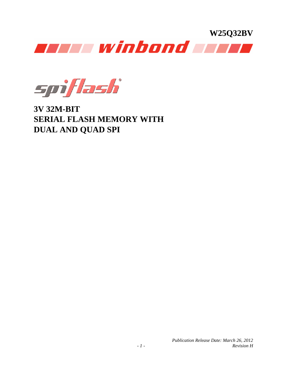

spiflash

**3V 32M-BIT SERIAL FLASH MEMORY WITH DUAL AND QUAD SPI**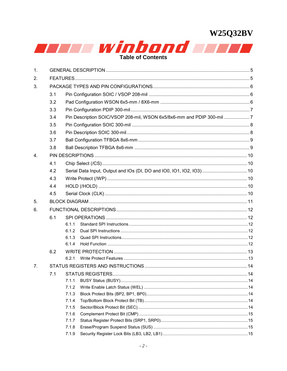

| 1.             |     |                |                                                                       |  |  |  |  |  |  |
|----------------|-----|----------------|-----------------------------------------------------------------------|--|--|--|--|--|--|
| 2.             |     |                |                                                                       |  |  |  |  |  |  |
| 3.             |     |                |                                                                       |  |  |  |  |  |  |
|                | 3.1 |                |                                                                       |  |  |  |  |  |  |
|                | 3.2 |                |                                                                       |  |  |  |  |  |  |
|                | 3.3 |                |                                                                       |  |  |  |  |  |  |
|                | 3.4 |                | Pin Description SOIC/VSOP 208-mil, WSON 6x5/8x6-mm and PDIP 300-mil 7 |  |  |  |  |  |  |
|                | 3.5 |                |                                                                       |  |  |  |  |  |  |
|                | 3.6 |                |                                                                       |  |  |  |  |  |  |
|                | 3.7 |                |                                                                       |  |  |  |  |  |  |
|                | 3.8 |                |                                                                       |  |  |  |  |  |  |
| $\overline{4}$ |     |                |                                                                       |  |  |  |  |  |  |
|                | 4.1 |                |                                                                       |  |  |  |  |  |  |
|                | 4.2 |                | Serial Data Input, Output and IOs (DI, DO and IO0, IO1, IO2, IO3) 10  |  |  |  |  |  |  |
|                | 4.3 |                |                                                                       |  |  |  |  |  |  |
|                | 4.4 |                |                                                                       |  |  |  |  |  |  |
|                | 4.5 |                |                                                                       |  |  |  |  |  |  |
| 5.             |     |                |                                                                       |  |  |  |  |  |  |
|                |     |                |                                                                       |  |  |  |  |  |  |
| 6.             |     |                |                                                                       |  |  |  |  |  |  |
|                | 6.1 |                |                                                                       |  |  |  |  |  |  |
|                |     | 6.1.1<br>6.1.2 |                                                                       |  |  |  |  |  |  |
|                |     | 6.1.3          |                                                                       |  |  |  |  |  |  |
|                |     | 6.1.4          |                                                                       |  |  |  |  |  |  |
|                | 6.2 |                |                                                                       |  |  |  |  |  |  |
|                |     | 6.2.1          |                                                                       |  |  |  |  |  |  |
| 7 <sub>1</sub> |     |                |                                                                       |  |  |  |  |  |  |
|                | 7.1 |                |                                                                       |  |  |  |  |  |  |
|                |     | 7.1.1          |                                                                       |  |  |  |  |  |  |
|                |     | 7.1.2          |                                                                       |  |  |  |  |  |  |
|                |     | 7.1.3          |                                                                       |  |  |  |  |  |  |
|                |     | 7.1.4          |                                                                       |  |  |  |  |  |  |
|                |     | 7.1.5          |                                                                       |  |  |  |  |  |  |
|                |     | 7.1.6          |                                                                       |  |  |  |  |  |  |
|                |     | 7.1.7          |                                                                       |  |  |  |  |  |  |
|                |     | 7.1.8          |                                                                       |  |  |  |  |  |  |
|                |     | 7.1.9          |                                                                       |  |  |  |  |  |  |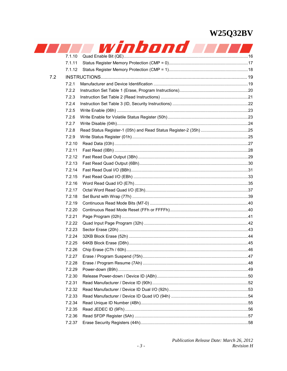|     |        | winbond |  |
|-----|--------|---------|--|
|     | 7.1.10 |         |  |
|     | 7.1.11 |         |  |
|     | 7.1.12 |         |  |
| 7.2 |        |         |  |
|     | 7.2.1  |         |  |
|     | 7.2.2  |         |  |
|     | 7.2.3  |         |  |
|     | 7.2.4  |         |  |
|     | 7.2.5  |         |  |
|     | 7.2.6  |         |  |
|     | 7.2.7  |         |  |
|     | 7.2.8  |         |  |
|     | 7.2.9  |         |  |
|     | 7.2.10 |         |  |
|     | 7.2.11 |         |  |
|     | 7.2.12 |         |  |
|     | 7.2.13 |         |  |
|     | 7.2.14 |         |  |
|     | 7.2.15 |         |  |
|     | 7.2.16 |         |  |
|     | 7.2.17 |         |  |
|     | 7.2.18 |         |  |
|     | 7.2.19 |         |  |
|     | 7.2.20 |         |  |
|     | 7.2.21 |         |  |
|     | 7.2.22 |         |  |
|     | 7.2.23 |         |  |
|     | 7.2.24 |         |  |
|     | 7.2.25 |         |  |
|     | 7.2.26 |         |  |
|     | 7.2.27 |         |  |
|     | 7.2.28 |         |  |
|     | 7.2.29 |         |  |
|     | 7.2.30 |         |  |
|     | 7.2.31 |         |  |
|     | 7.2.32 |         |  |
|     | 7.2.33 |         |  |
|     | 7.2.34 |         |  |
|     | 7.2.35 |         |  |
|     | 7.2.36 |         |  |
|     | 7.2.37 |         |  |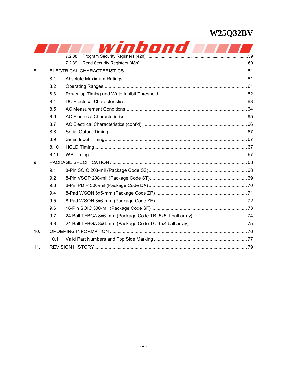|     |      | winbond |  |
|-----|------|---------|--|
|     |      | 7.2.38  |  |
|     |      | 7.2.39  |  |
| 8.  |      |         |  |
|     | 8.1  |         |  |
|     | 8.2  |         |  |
|     | 8.3  |         |  |
|     | 8.4  |         |  |
|     | 8.5  |         |  |
|     | 8.6  |         |  |
|     | 8.7  |         |  |
|     | 8.8  |         |  |
|     | 8.9  |         |  |
|     | 8.10 |         |  |
|     | 8.11 |         |  |
| 9.  |      |         |  |
|     | 9.1  |         |  |
|     | 9.2  |         |  |
|     | 9.3  |         |  |
|     | 9.4  |         |  |
|     | 9.5  |         |  |
|     | 9.6  |         |  |
|     | 9.7  |         |  |
|     | 9.8  |         |  |
| 10. |      |         |  |
|     | 10.1 |         |  |
| 11. |      |         |  |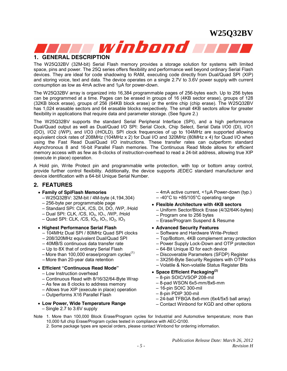<span id="page-4-0"></span>

### **1. GENERAL DESCRIPTION**

The W25Q32BV (32M-bit) Serial Flash memory provides a storage solution for systems with limited space, pins and power. The 25Q series offers flexibility and performance well beyond ordinary Serial Flash devices. They are ideal for code shadowing to RAM, executing code directly from Dual/Quad SPI (XIP) and storing voice, text and data. The device operates on a single 2.7V to 3.6V power supply with current consumption as low as 4mA active and 1µA for power-down.

The W25Q32BV array is organized into 16,384 programmable pages of 256-bytes each. Up to 256 bytes can be programmed at a time. Pages can be erased in groups of 16 (4KB sector erase), groups of 128 (32KB block erase), groups of 256 (64KB block erase) or the entire chip (chip erase). The W25Q32BV has 1,024 erasable sectors and 64 erasable blocks respectively. The small 4KB sectors allow for greater flexibility in applications that require data and parameter storage. (See figure 2.)

The W25Q32BV supports the standard Serial Peripheral Interface (SPI), and a high performance Dual/Quad output as well as Dual/Quad I/O SPI: Serial Clock, Chip Select, Serial Data I/O0 (DI), I/O1 (DO), I/O2 (/WP), and I/O3 (/HOLD). SPI clock frequencies of up to 104MHz are supported allowing equivalent clock rates of 208MHz (104MHz x 2) for Dual I/O and 320MHz (80MHz x 4) for Quad I/O when using the Fast Read Dual/Quad I/O instructions. These transfer rates can outperform standard Asynchronous 8 and 16-bit Parallel Flash memories. The Continuous Read Mode allows for efficient memory access with as few as 8-clocks of instruction-overhead to read a 24-bit address, allowing true XIP (execute in place) operation.

A Hold pin, Write Protect pin and programmable write protection, with top or bottom array control, provide further control flexibility. Additionally, the device supports JEDEC standard manufacturer and device identification with a 64-bit Unique Serial Number.

#### **2. FEATURES**

- **Family of SpiFlash Memories**
	- W25Q32BV: 32M-bit / 4M-byte (4,194,304)
	- 256-byte per programmable page
	- Standard SPI: CLK, /CS, DI, DO, /WP, /Hold
	- $-$  Dual SPI: CLK, /CS, IO<sub>0</sub>, IO<sub>1</sub>, /WP, /Hold
	- $-$  Quad SPI: CLK, /CS, IO<sub>0</sub>, IO<sub>1</sub>, IO<sub>2</sub>, IO<sub>3</sub>
- **Highest Performance Serial Flash** 
	- 104MHz Dual SPI / 80MHz Quad SPI clocks
	- 208/320MHz equivalent Dual/Quad SPI
	- 40MB/S continuous data transfer rate
	- Up to 8X that of ordinary Serial Flash
	- More than 100,000 erase/program cycles $^{(1)}$
	- More than 20-year data retention
- **Efficient "Continuous Read Mode"** 
	- Low Instruction overhead
	- Continuous Read with 8/16/32/64-Byte Wrap
	- As few as 8 clocks to address memory
	- Allows true XIP (execute in place) operation
	- Outperforms X16 Parallel Flash
- **Low Power, Wide Temperature Range** 
	- Single 2.7 to 3.6V supply

– 4mA active current, <1µA Power-down (typ.)

- $-40^{\circ}$ C to +85/105 $^{\circ}$ C operating range
- **Flexible Architecture with 4KB sectors** 
	- Uniform Sector/Block Erase (4/32/64K-bytes)
	- Program one to 256 bytes
	- Erase/Program Suspend & Resume
- **Advanced Security Features** 
	- Software and Hardware Write-Protect
	- Top/Bottom, 4KB complement array protection
	- Power Supply Lock-Down and OTP protection
	- 64-Bit Unique ID for each device
	- Discoverable Parameters (SFDP) Register
	- 3X256-Byte Security Registers with OTP locks
	- Volatile & Non-volatile Status Register Bits
- **Space Efficient Packaging(2)**
	- 8-pin SOIC/VSOP 208-mil
	- 8-pad WSON 6x5-mm/8x6-mm
	- 16-pin SOIC 300-mil
	- 8-pin PDIP 300-mil
	- 24-ball TFBGA 8x6-mm (6x4/5x5 ball array)
	- Contact Winbond for KGD and other options
- Note 1. More than 100,000 Block Erase/Program cycles for Industrial and Automotive temperature; more than 10,000 full chip Erase/Program cycles tested in compliance with AEC-Q100.
	- 2. Some package types are special orders, please contact Winbond for ordering information.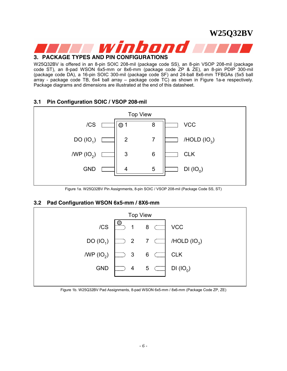<span id="page-5-0"></span>

W25Q32BV is offered in an 8-pin SOIC 208-mil (package code SS), an 8-pin VSOP 208-mil (package code ST), an 8-pad WSON 6x5-mm or 8x6-mm (package code ZP & ZE), an 8-pin PDIP 300-mil (package code DA), a 16-pin SOIC 300-mil (package code SF) and 24-ball 8x6-mm TFBGAs (5x5 ball array - package code TB, 6x4 ball array – package code TC) as shown in Figure 1a-e respectively. Package diagrams and dimensions are illustrated at the end of this datasheet.

### **3.1 Pin Configuration SOIC / VSOP 208-mil**



Figure 1a. W25Q32BV Pin Assignments, 8-pin SOIC / VSOP 208-mil (Package Code SS, ST)

### **3.2 Pad Configuration WSON 6x5-mm / 8X6-mm**



Figure 1b. W25Q32BV Pad Assignments, 8-pad WSON 6x5-mm / 8x6-mm (Package Code ZP, ZE)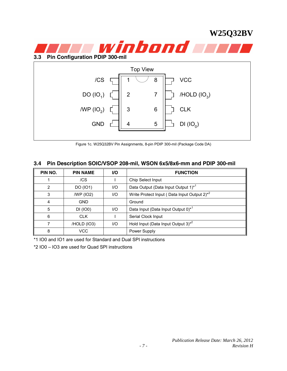<span id="page-6-0"></span>

Figure 1c. W25Q32BV Pin Assignments, 8-pin PDIP 300-mil (Package Code DA)

### **3.4 Pin Description SOIC/VSOP 208-mil, WSON 6x5/8x6-mm and PDIP 300-mil**

| PIN NO. | <b>PIN NAME</b> | VO. | <b>FUNCTION</b>                                              |  |  |
|---------|-----------------|-----|--------------------------------------------------------------|--|--|
|         | /CS             |     | Chip Select Input                                            |  |  |
| 2       | DO (IO1)        | 1/O | Data Output (Data Input Output 1) <sup>*1</sup>              |  |  |
| 3       | /WP (IO2)       | 1/O | Write Protect Input (Data Input Output 2) <sup>*2</sup>      |  |  |
| 4       | <b>GND</b>      |     | Ground                                                       |  |  |
| 5       | DI (IO0)        | 1/O | Data Input (Data Input Output 0) <sup>*1</sup>               |  |  |
| 6       | <b>CLK</b>      |     | Serial Clock Input                                           |  |  |
|         | /HOLD (IO3)     | 1/O | Hold Input (Data Input Output 3) <sup><math>*^2</math></sup> |  |  |
| 8       | VCC             |     | Power Supply                                                 |  |  |

\*1 IO0 and IO1 are used for Standard and Dual SPI instructions

\*2 IO0 – IO3 are used for Quad SPI instructions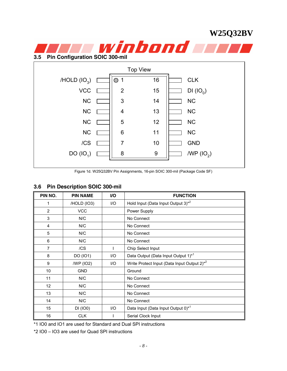<span id="page-7-0"></span>

Figure 1d. W25Q32BV Pin Assignments, 16-pin SOIC 300-mil (Package Code SF)

### **3.6 Pin Description SOIC 300-mil**

| PIN NO.        | <b>PIN NAME</b> | I/O | <b>FUNCTION</b>                                         |
|----------------|-----------------|-----|---------------------------------------------------------|
|                | /HOLD (IO3)     | I/O | Hold Input (Data Input Output 3) <sup>*2</sup>          |
| $\overline{2}$ | <b>VCC</b>      |     | Power Supply                                            |
| 3              | N/C             |     | No Connect                                              |
| 4              | N/C             |     | No Connect                                              |
| 5              | N/C             |     | No Connect                                              |
| 6              | N/C             |     | No Connect                                              |
| 7              | /CS             |     | Chip Select Input                                       |
| 8              | DO (IO1)        | I/O | Data Output (Data Input Output 1) <sup>*1</sup>         |
| 9              | /WP (IO2)       | I/O | Write Protect Input (Data Input Output 2) <sup>*2</sup> |
| 10             | <b>GND</b>      |     | Ground                                                  |
| 11             | N/C             |     | No Connect                                              |
| 12             | N/C             |     | No Connect                                              |
| 13             | N/C             |     | No Connect                                              |
| 14             | N/C             |     | No Connect                                              |
| 15             | DI (IO0)        | I/O | Data Input (Data Input Output 0) <sup>*1</sup>          |
| 16             | <b>CLK</b>      |     | Serial Clock Input                                      |

\*1 IO0 and IO1 are used for Standard and Dual SPI instructions

\*2 IO0 – IO3 are used for Quad SPI instructions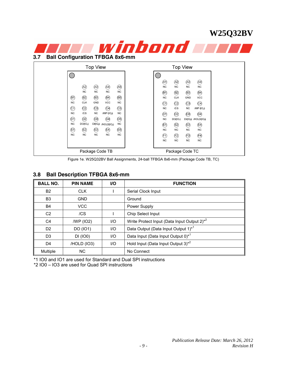#### <span id="page-8-0"></span>W25Q32BV **3.7 Ball Configuration TFBGA 8x6-mm Top View Top View**  $\bigcirc$  $\bigcap$  $\frac{1}{2}$  $\left( \mathsf{A1}\right)$  $\mathsf{A}2$  $AA$  $\overline{NC}$  $(A3)$  $\mathsf{A4}$  $\overline{A5}$  $NC$  $NC$  $\overline{A2}$  $NC$  $\overline{NC}$  $NC$  $NC$  $\widehat{B}$  $\left( \mathsf{B2}\right)$  $\widehat{\mathsf{B3}}$  $\left[ 84\right]$  $\frac{1}{2}$  $\rm{B2}$  $\overline{B3}$  $\bar{B}4$  $\left( \mathsf{B5}\right)$  $\overline{NC}$  $CLK$  $GND$ vcc  $CLK$  $GND$ vcc  $NC$ Ć)  $\rm \ddot{C} \dot{2}$  $\rm \tilde{C}$  $CA$  $\hat{C}$  $\rm \widehat{C2}$  $\overline{C}$ 3  $\rm \tilde{C}$  $\ddot{\rm C5}$ **NC**  $\overline{\mathcal{L}}$ s  $NC$  $MIP (IO<sub>2</sub>)$  $\overline{NC}$  $M P (10<sub>2</sub>)$  $\overline{\mathcal{L}}$ s **NC NC**  $(5)$  $\rm \ddot{D2}$  $(D3)$  $\mathsf{D4}$  $\overline{D}$  $\overrightarrow{D2}$  $(D3)$  $\mathsf{D4}$  $(D5)$  $\overline{NC}$  $DO(O<sub>1</sub>)$  $D((O<sub>0</sub>)$  /HOLD( $1O<sub>3</sub>$ )  $\overline{NC}$  $DO(IO_1)$  $DI(IO<sub>0</sub>)$  /HOLD( $IO<sub>3</sub>$ )  $\overline{NC}$  $(E)$  $\left(\!\!\left[\!\left[2\right]\!\!\right)\!\!\right)$  $(E3)$  $(E4)$ (自)  $\left(\mathsf{E2}\right)$  $(E3)$  $E4$  $(E5)$  $_{\rm NC}$  $_{\rm NC}$  $NC$ **NC**  $NC$  $NC$  $_{\sf NC}$  $_{\rm NC}$  $NC$  $(\bar{F})$  $\left( \mathsf{F2}\right)$  $(\mathsf{F3})$  $(F4)$  $\overline{NC}$ **NC NC NC** Package Code TB Package Code TC

Figure 1e. W25Q32BV Ball Assignments, 24-ball TFBGA 8x6-mm (Package Code TB, TC)

### **3.8 Ball Description TFBGA 8x6-mm**

| <b>BALL NO.</b> | <b>PIN NAME</b> | VO.  | <b>FUNCTION</b>                                              |
|-----------------|-----------------|------|--------------------------------------------------------------|
| <b>B2</b>       | <b>CLK</b>      |      | Serial Clock Input                                           |
| B <sub>3</sub>  | <b>GND</b>      |      | Ground                                                       |
| <b>B4</b>       | <b>VCC</b>      |      | Power Supply                                                 |
| C <sub>2</sub>  | /CS             |      | Chip Select Input                                            |
| C <sub>4</sub>  | /WP (IO2)       | 1/O  | Write Protect Input (Data Input Output 2) <sup>*2</sup>      |
| D <sub>2</sub>  | DO (IO1)        | $II$ | Data Output (Data Input Output 1) <sup>*1</sup>              |
| D <sub>3</sub>  | DI (IO0)        | UQ   | Data Input (Data Input Output 0) <sup>*1</sup>               |
| D <sub>4</sub>  | /HOLD (IO3)     | 1/O  | Hold Input (Data Input Output 3) <sup><math>*^2</math></sup> |
| Multiple        | <b>NC</b>       |      | No Connect                                                   |

\*1 IO0 and IO1 are used for Standard and Dual SPI instructions

\*2 IO0 – IO3 are used for Quad SPI instructions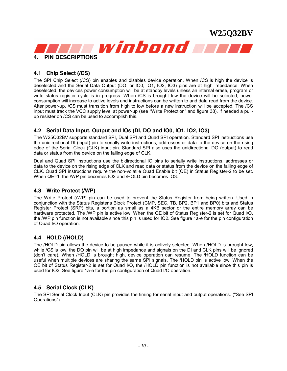<span id="page-9-0"></span>

#### **4.1 Chip Select (/CS)**

The SPI Chip Select (/CS) pin enables and disables device operation. When /CS is high the device is deselected and the Serial Data Output (DO, or IO0, IO1, IO2, IO3) pins are at high impedance. When deselected, the devices power consumption will be at standby levels unless an internal erase, program or write status register cycle is in progress. When /CS is brought low the device will be selected, power consumption will increase to active levels and instructions can be written to and data read from the device. After power-up, /CS must transition from high to low before a new instruction will be accepted. The /CS input must track the VCC supply level at power-up (see "Write Protection" and figure 38). If needed a pullup resister on /CS can be used to accomplish this.

#### **4.2 Serial Data Input, Output and IOs (DI, DO and IO0, IO1, IO2, IO3)**

The W25Q32BV supports standard SPI, Dual SPI and Quad SPI operation. Standard SPI instructions use the unidirectional DI (input) pin to serially write instructions, addresses or data to the device on the rising edge of the Serial Clock (CLK) input pin. Standard SPI also uses the unidirectional DO (output) to read data or status from the device on the falling edge of CLK.

Dual and Quad SPI instructions use the bidirectional IO pins to serially write instructions, addresses or data to the device on the rising edge of CLK and read data or status from the device on the falling edge of CLK. Quad SPI instructions require the non-volatile Quad Enable bit (QE) in Status Register-2 to be set. When QE=1, the /WP pin becomes IO2 and /HOLD pin becomes IO3.

#### **4.3 Write Protect (/WP)**

The Write Protect (/WP) pin can be used to prevent the Status Register from being written. Used in conjunction with the Status Register's Block Protect (CMP, SEC, TB, BP2, BP1 and BP0) bits and Status Register Protect (SRP) bits, a portion as small as a 4KB sector or the entire memory array can be hardware protected. The /WP pin is active low. When the QE bit of Status Register-2 is set for Quad I/O, the /WP pin function is not available since this pin is used for IO2. See figure 1a-e for the pin configuration of Quad I/O operation.

#### **4.4 HOLD (/HOLD)**

The /HOLD pin allows the device to be paused while it is actively selected. When /HOLD is brought low, while /CS is low, the DO pin will be at high impedance and signals on the DI and CLK pins will be ignored (don't care). When /HOLD is brought high, device operation can resume. The /HOLD function can be useful when multiple devices are sharing the same SPI signals. The /HOLD pin is active low. When the QE bit of Status Register-2 is set for Quad I/O, the /HOLD pin function is not available since this pin is used for IO3. See figure 1a-e for the pin configuration of Quad I/O operation.

#### **4.5 Serial Clock (CLK)**

The SPI Serial Clock Input (CLK) pin provides the timing for serial input and output operations. ("See SPI Operations")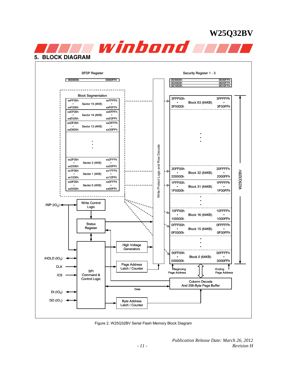<span id="page-10-0"></span>

Figure 2. W25Q32BV Serial Flash Memory Block Diagram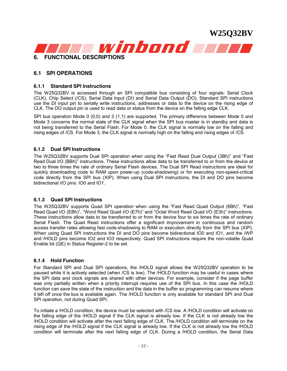<span id="page-11-0"></span>

### **6.1 SPI OPERATIONS**

#### **6.1.1 Standard SPI Instructions**

The W25Q32BV is accessed through an SPI compatible bus consisting of four signals: Serial Clock (CLK), Chip Select (/CS), Serial Data Input (DI) and Serial Data Output (DO). Standard SPI instructions use the DI input pin to serially write instructions, addresses or data to the device on the rising edge of CLK. The DO output pin is used to read data or status from the device on the falling edge CLK.

SPI bus operation Mode 0 (0,0) and 3 (1,1) are supported. The primary difference between Mode 0 and Mode 3 concerns the normal state of the CLK signal when the SPI bus master is in standby and data is not being transferred to the Serial Flash. For Mode 0, the CLK signal is normally low on the falling and rising edges of /CS. For Mode 3, the CLK signal is normally high on the falling and rising edges of /CS.

#### **6.1.2 Dual SPI Instructions**

The W25Q32BV supports Dual SPI operation when using the "Fast Read Dual Output (3Bh)" and "Fast Read Dual I/O (BBh)" instructions. These instructions allow data to be transferred to or from the device at two to three times the rate of ordinary Serial Flash devices. The Dual SPI Read instructions are ideal for quickly downloading code to RAM upon power-up (code-shadowing) or for executing non-speed-critical code directly from the SPI bus (XIP). When using Dual SPI instructions, the DI and DO pins become bidirectional I/O pins: IO0 and IO1.

#### **6.1.3 Quad SPI Instructions**

The W25Q32BV supports Quad SPI operation when using the "Fast Read Quad Output (6Bh)", "Fast Read Quad I/O (EBh)", "Word Read Quad I/O (E7h)" and "Octal Word Read Quad I/O (E3h)" instructions. These instructions allow data to be transferred to or from the device four to six times the rate of ordinary Serial Flash. The Quad Read instructions offer a significant improvement in continuous and random access transfer rates allowing fast code-shadowing to RAM or execution directly from the SPI bus (XIP). When using Quad SPI instructions the DI and DO pins become bidirectional IO0 and IO1, and the /WP and /HOLD pins become IO2 and IO3 respectively. Quad SPI instructions require the non-volatile Quad Enable bit (QE) in Status Register-2 to be set.

#### **6.1.4 Hold Function**

For Standard SPI and Dual SPI operations, the /HOLD signal allows the W25Q32BV operation to be paused while it is actively selected (when /CS is low). The /HOLD function may be useful in cases where the SPI data and clock signals are shared with other devices. For example, consider if the page buffer was only partially written when a priority interrupt requires use of the SPI bus. In this case the /HOLD function can save the state of the instruction and the data in the buffer so programming can resume where it left off once the bus is available again. The /HOLD function is only available for standard SPI and Dual SPI operation, not during Quad SPI.

To initiate a /HOLD condition, the device must be selected with /CS low. A /HOLD condition will activate on the falling edge of the /HOLD signal if the CLK signal is already low. If the CLK is not already low the /HOLD condition will activate after the next falling edge of CLK. The /HOLD condition will terminate on the rising edge of the /HOLD signal if the CLK signal is already low. If the CLK is not already low the /HOLD condition will terminate after the next falling edge of CLK. During a /HOLD condition, the Serial Data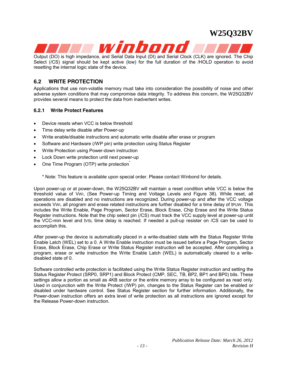<span id="page-12-0"></span>

Output (DO) is high impedance, and Serial Data Input (DI) and Serial Clock (CLK) are ignored. The Chip Select (/CS) signal should be kept active (low) for the full duration of the /HOLD operation to avoid resetting the internal logic state of the device.

#### **6.2 WRITE PROTECTION**

Applications that use non-volatile memory must take into consideration the possibility of noise and other adverse system conditions that may compromise data integrity. To address this concern, the W25Q32BV provides several means to protect the data from inadvertent writes.

#### **6.2.1 Write Protect Features**

- Device resets when VCC is below threshold
- Time delay write disable after Power-up
- Write enable/disable instructions and automatic write disable after erase or program
- Software and Hardware (/WP pin) write protection using Status Register
- Write Protection using Power-down instruction
- Lock Down write protection until next power-up
- One Time Program (OTP) write protection

\* Note: This feature is available upon special order. Please contact Winbond for details.

Upon power-up or at power-down, the W25Q32BV will maintain a reset condition while VCC is below the threshold value of VWI, (See Power-up Timing and Voltage Levels and Figure 38). While reset, all operations are disabled and no instructions are recognized. During power-up and after the VCC voltage exceeds VWI, all program and erase related instructions are further disabled for a time delay of tPUW. This includes the Write Enable, Page Program, Sector Erase, Block Erase, Chip Erase and the Write Status Register instructions. Note that the chip select pin (/CS) must track the VCC supply level at power-up until the VCC-min level and tVSL time delay is reached. If needed a pull-up resister on /CS can be used to accomplish this.

After power-up the device is automatically placed in a write-disabled state with the Status Register Write Enable Latch (WEL) set to a 0. A Write Enable instruction must be issued before a Page Program, Sector Erase, Block Erase, Chip Erase or Write Status Register instruction will be accepted. After completing a program, erase or write instruction the Write Enable Latch (WEL) is automatically cleared to a writedisabled state of 0.

Software controlled write protection is facilitated using the Write Status Register instruction and setting the Status Register Protect (SRP0, SRP1) and Block Protect (CMP, SEC, TB, BP2, BP1 and BP0) bits. These settings allow a portion as small as 4KB sector or the entire memory array to be configured as read only. Used in conjunction with the Write Protect (/WP) pin, changes to the Status Register can be enabled or disabled under hardware control. See Status Register section for further information. Additionally, the Power-down instruction offers an extra level of write protection as all instructions are ignored except for the Release Power-down instruction.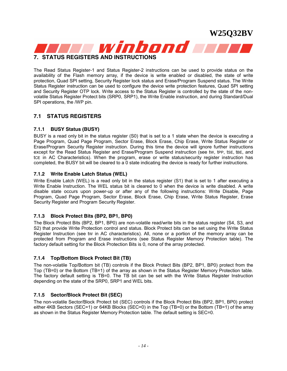

<span id="page-13-0"></span>

The Read Status Register-1 and Status Register-2 instructions can be used to provide status on the availability of the Flash memory array, if the device is write enabled or disabled, the state of write protection, Quad SPI setting, Security Register lock status and Erase/Program Suspend status. The Write Status Register instruction can be used to configure the device write protection features, Quad SPI setting and Security Register OTP lock. Write access to the Status Register is controlled by the state of the nonvolatile Status Register Protect bits (SRP0, SRP1), the Write Enable instruction, and during Standard/Dual SPI operations, the /WP pin.

#### **7.1 STATUS REGISTERS**

#### **7.1.1 BUSY Status (BUSY)**

BUSY is a read only bit in the status register (S0) that is set to a 1 state when the device is executing a Page Program, Quad Page Program, Sector Erase, Block Erase, Chip Erase, Write Status Register or Erase/Program Security Register instruction. During this time the device will ignore further instructions except for the Read Status Register and Erase/Program Suspend instruction (see tw, tPP, tSE, tBE, and tce in AC Characteristics). When the program, erase or write status/security register instruction has completed, the BUSY bit will be cleared to a 0 state indicating the device is ready for further instructions.

#### **7.1.2 Write Enable Latch Status (WEL)**

Write Enable Latch (WEL) is a read only bit in the status register (S1) that is set to 1 after executing a Write Enable Instruction. The WEL status bit is cleared to 0 when the device is write disabled. A write disable state occurs upon power-up or after any of the following instructions: Write Disable, Page Program, Quad Page Program, Sector Erase, Block Erase, Chip Erase, Write Status Register, Erase Security Register and Program Security Register.

#### **7.1.3 Block Protect Bits (BP2, BP1, BP0)**

The Block Protect Bits (BP2, BP1, BP0) are non-volatile read/write bits in the status register (S4, S3, and S2) that provide Write Protection control and status. Block Protect bits can be set using the Write Status Register Instruction (see tW in AC characteristics). All, none or a portion of the memory array can be protected from Program and Erase instructions (see Status Register Memory Protection table). The factory default setting for the Block Protection Bits is 0, none of the array protected.

#### **7.1.4 Top/Bottom Block Protect Bit (TB)**

The non-volatile Top/Bottom bit (TB) controls if the Block Protect Bits (BP2, BP1, BP0) protect from the Top (TB=0) or the Bottom (TB=1) of the array as shown in the Status Register Memory Protection table. The factory default setting is TB=0. The TB bit can be set with the Write Status Register Instruction depending on the state of the SRP0, SRP1 and WEL bits.

#### **7.1.5 Sector/Block Protect Bit (SEC)**

The non-volatile Sector/Block Protect bit (SEC) controls if the Block Protect Bits (BP2, BP1, BP0) protect either 4KB Sectors (SEC=1) or 64KB Blocks (SEC=0) in the Top (TB=0) or the Bottom (TB=1) of the array as shown in the Status Register Memory Protection table. The default setting is SEC=0.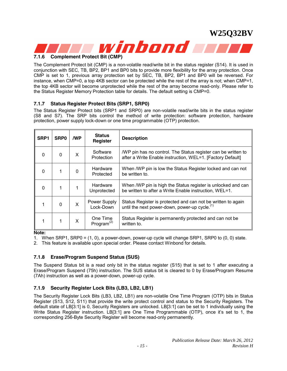<span id="page-14-0"></span>

### **7.1.6 Complement Protect Bit (CMP)**

The Complement Protect bit (CMP) is a non-volatile read/write bit in the status register (S14). It is used in conjunction with SEC, TB, BP2, BP1 and BP0 bits to provide more flexibility for the array protection. Once CMP is set to 1, previous array protection set by SEC, TB, BP2, BP1 and BP0 will be reversed. For instance, when CMP=0, a top 4KB sector can be protected while the rest of the array is not; when CMP=1, the top 4KB sector will become unprotected while the rest of the array become read-only. Please refer to the Status Register Memory Protection table for details. The default setting is CMP=0.

#### **7.1.7 Status Register Protect Bits (SRP1, SRP0)**

The Status Register Protect bits (SRP1 and SRP0) are non-volatile read/write bits in the status register (S8 and S7). The SRP bits control the method of write protection: software protection, hardware protection, power supply lock-down or one time programmable (OTP) protection.

| SRP <sub>1</sub> | SRP <sub>0</sub> | /WP | <b>Status</b><br>Register                       | <b>Description</b>                                                                                                          |
|------------------|------------------|-----|-------------------------------------------------|-----------------------------------------------------------------------------------------------------------------------------|
| 0                | 0                | X   | Software<br>Protection                          | /WP pin has no control. The Status register can be written to<br>after a Write Enable instruction, WEL=1. [Factory Default] |
| $\Omega$         |                  | 0   | Hardware<br>Protected                           | When /WP pin is low the Status Register locked and can not<br>be written to.                                                |
| $\Omega$         |                  |     | Hardware<br>Unprotected                         | When /WP pin is high the Status register is unlocked and can<br>be written to after a Write Enable instruction, WEL=1.      |
|                  | $\Omega$         | X   | Power Supply<br>Lock-Down                       | Status Register is protected and can not be written to again<br>until the next power-down, power-up cycle. <sup>(1)</sup>   |
|                  |                  | X   | One Time<br>Program <sup><math>(2)</math></sup> | Status Register is permanently protected and can not be<br>written to.                                                      |

**Note:**

1. When SRP1, SRP0 = (1, 0), a power-down, power-up cycle will change SRP1, SRP0 to (0, 0) state.

2. This feature is available upon special order. Please contact Winbond for details.

#### **7.1.8 Erase/Program Suspend Status (SUS)**

The Suspend Status bit is a read only bit in the status register (S15) that is set to 1 after executing a Erase/Program Suspend (75h) instruction. The SUS status bit is cleared to 0 by Erase/Program Resume (7Ah) instruction as well as a power-down, power-up cycle.

#### **7.1.9 Security Register Lock Bits (LB3, LB2, LB1)**

The Security Register Lock Bits (LB3, LB2, LB1) are non-volatile One Time Program (OTP) bits in Status Register (S13, S12, S11) that provide the write protect control and status to the Security Registers. The default state of LB[3:1] is 0, Security Registers are unlocked. LB[3:1] can be set to 1 individually using the Write Status Register instruction. LB[3:1] are One Time Programmable (OTP), once it's set to 1, the corresponding 256-Byte Security Register will become read-only permanently.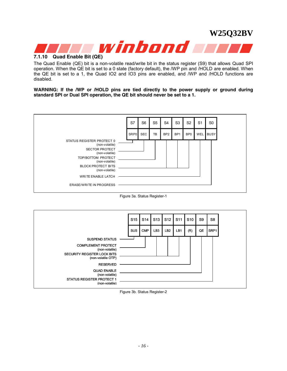<span id="page-15-0"></span>

### **7.1.10 Quad Enable Bit (QE)**

The Quad Enable (QE) bit is a non-volatile read/write bit in the status register (S9) that allows Quad SPI operation. When the QE bit is set to a 0 state (factory default), the /WP pin and /HOLD are enabled. When the QE bit is set to a 1, the Quad IO2 and IO3 pins are enabled, and /WP and /HOLD functions are disabled.

**WARNING: If the /WP or /HOLD pins are tied directly to the power supply or ground during standard SPI or Dual SPI operation, the QE bit should never be set to a 1.** 



Figure 3a. Status Register-1

|                                                                                                                     | S <sub>15</sub> | S14        | S <sub>13</sub> | S <sub>12</sub> | S <sub>11</sub> | S <sub>10</sub> | S9 | S <sub>8</sub> |
|---------------------------------------------------------------------------------------------------------------------|-----------------|------------|-----------------|-----------------|-----------------|-----------------|----|----------------|
|                                                                                                                     | <b>SUS</b>      | <b>CMP</b> | LB <sub>3</sub> | LB <sub>2</sub> | LB1             | (R)             | QE | SRP1           |
| <b>SUSPEND STATUS</b>                                                                                               |                 |            |                 |                 |                 |                 |    |                |
| <b>COMPLEMENT PROTECT</b><br>(non-volatile)<br>SECURITY REGISTER LOCK BITS<br>(non-volatile OTP)<br><b>RESERVED</b> |                 |            |                 |                 |                 |                 |    |                |
| <b>QUAD ENABLE</b><br>(non-volatile)<br><b>STATUS REGISTER PROTECT 1</b><br>(non-volatile)                          |                 |            |                 |                 |                 |                 |    |                |

Figure 3b. Status Register-2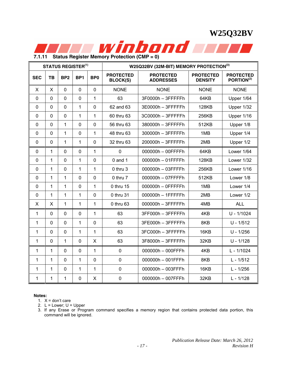<span id="page-16-0"></span>

**7.1.11 Status Register Memory Protection (CMP = 0)** 

|              |              |                 | <b>STATUS REGISTER(1)</b> |                 | W25Q32BV (32M-BIT) MEMORY PROTECTION <sup>(3)</sup> |                                      |                                    |                                            |  |  |
|--------------|--------------|-----------------|---------------------------|-----------------|-----------------------------------------------------|--------------------------------------|------------------------------------|--------------------------------------------|--|--|
| <b>SEC</b>   | <b>TB</b>    | BP <sub>2</sub> | BP1                       | BP <sub>0</sub> | <b>PROTECTED</b><br><b>BLOCK(S)</b>                 | <b>PROTECTED</b><br><b>ADDRESSES</b> | <b>PROTECTED</b><br><b>DENSITY</b> | <b>PROTECTED</b><br>PORTION <sup>(2)</sup> |  |  |
| X            | X            | $\mathbf 0$     | $\mathbf 0$               | $\mathbf 0$     | <b>NONE</b>                                         | <b>NONE</b>                          | <b>NONE</b>                        | <b>NONE</b>                                |  |  |
| $\mathbf 0$  | $\mathbf 0$  | $\mathbf 0$     | $\mathbf 0$               | 1               | 63                                                  | 3F0000h - 3FFFFFh                    | 64KB                               | Upper 1/64                                 |  |  |
| 0            | $\mathbf 0$  | $\mathbf 0$     | 1                         | $\mathbf 0$     | 62 and 63                                           | 3E0000h - 3FFFFFh                    | <b>128KB</b>                       | Upper 1/32                                 |  |  |
| $\mathbf{0}$ | $\mathbf 0$  | $\mathbf 0$     | 1                         | 1               | 60 thru 63                                          | 3C0000h - 3FFFFFh                    | 256KB                              | Upper 1/16                                 |  |  |
| $\mathbf 0$  | $\mathbf 0$  | 1               | $\mathbf 0$               | $\mathbf 0$     | 56 thru 63                                          | 380000h - 3FFFFFh                    | 512KB                              | Upper 1/8                                  |  |  |
| 0            | $\mathbf 0$  | $\mathbf{1}$    | $\mathbf 0$               | $\mathbf{1}$    | 48 thru 63                                          | 300000h - 3FFFFFh                    | 1MB                                | Upper 1/4                                  |  |  |
| 0            | $\mathbf 0$  | 1               | 1                         | $\mathbf 0$     | 32 thru 63                                          | 200000h - 3FFFFFh                    | 2MB                                | Upper 1/2                                  |  |  |
| $\mathbf 0$  | $\mathbf{1}$ | $\mathbf 0$     | 0                         | 1               | $\mathbf 0$                                         | 000000h - 00FFFFh                    | 64KB                               | Lower 1/64                                 |  |  |
| $\mathbf 0$  | $\mathbf{1}$ | $\mathbf{0}$    | 1                         | $\mathbf{0}$    | $0$ and $1$                                         | 000000h - 01FFFFh                    | <b>128KB</b>                       | Lower 1/32                                 |  |  |
| $\mathbf{0}$ | 1            | $\Omega$        | 1                         | 1               | 0 thru 3                                            | 000000h - 03FFFFh<br>256KB           |                                    | Lower 1/16                                 |  |  |
| 0            | $\mathbf{1}$ | 1               | $\mathbf 0$               | $\mathbf 0$     | 0 thru 7                                            | 000000h - 07FFFFh<br>512KB           |                                    | Lower 1/8                                  |  |  |
| $\mathbf{0}$ | $\mathbf{1}$ | 1               | $\mathbf 0$               | 1               | 0 thru 15                                           | 000000h - 0FFFFFh                    | 1MB                                | Lower 1/4                                  |  |  |
| $\mathbf 0$  | $\mathbf{1}$ | 1               | 1                         | $\mathbf 0$     | 0 thru 31                                           | 000000h - 1FFFFFh                    | 2MB                                | Lower 1/2                                  |  |  |
| X            | $\mathsf{x}$ | $\mathbf{1}$    | 1                         | 1               | 0 thru 63                                           | 000000h - 3FFFFFh                    | 4MB                                | <b>ALL</b>                                 |  |  |
| 1            | $\mathbf 0$  | $\mathbf 0$     | $\mathbf 0$               | 1               | 63                                                  | 3FF000h - 3FFFFFh                    | 4KB                                | $U - 1/1024$                               |  |  |
| 1            | $\mathbf 0$  | $\mathbf 0$     | 1                         | $\mathbf 0$     | 63                                                  | 3FE000h - 3FFFFFh                    | 8KB                                | $U - 1/512$                                |  |  |
| 1            | $\mathbf 0$  | $\mathbf 0$     | 1                         | 1               | 63                                                  | 3FC000h - 3FFFFFh                    | 16KB                               | $U - 1/256$                                |  |  |
| 1            | $\mathbf 0$  | 1               | $\mathbf 0$               | X               | 63                                                  | 3F8000h - 3FFFFFh                    | 32KB                               | $U - 1/128$                                |  |  |
| 1            | $\mathbf{1}$ | $\mathbf 0$     | $\mathbf 0$               | $\mathbf{1}$    | $\mathbf 0$                                         | 000000h - 000FFFh                    | 4KB                                | L - 1/1024                                 |  |  |
| 1            | $\mathbf{1}$ | $\mathbf 0$     | 1                         | $\mathbf 0$     | $\mathbf 0$                                         | 000000h - 001FFFh                    | 8KB                                | $L - 1/512$                                |  |  |
| 1            | $\mathbf{1}$ | $\mathbf 0$     | 1                         | 1               | $\mathbf 0$                                         | 000000h - 003FFFh                    | 16KB                               | $L - 1/256$                                |  |  |
| 1            | 1            | 1               | 0                         | X               | $\pmb{0}$                                           | 000000h - 007FFFh                    | 32KB                               | $L - 1/128$                                |  |  |

#### **Notes:**

1.  $X =$  don't care

2.  $L =$  Lower;  $U =$  Upper

3. If any Erase or Program command specifies a memory region that contains protected data portion, this command will be ignored.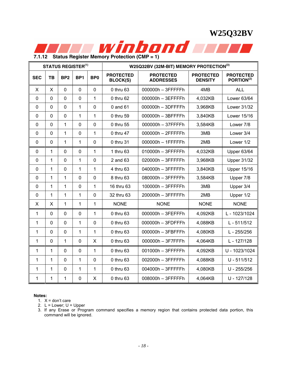<span id="page-17-0"></span>

| <b>STATUS REGISTER(1)</b> |                |                 |                 |                 | W25Q32BV (32M-BIT) MEMORY PROTECTION(3) |                                      |                                    |                                            |  |  |
|---------------------------|----------------|-----------------|-----------------|-----------------|-----------------------------------------|--------------------------------------|------------------------------------|--------------------------------------------|--|--|
| <b>SEC</b>                | <b>TB</b>      | BP <sub>2</sub> | BP <sub>1</sub> | BP <sub>0</sub> | <b>PROTECTED</b><br><b>BLOCK(S)</b>     | <b>PROTECTED</b><br><b>ADDRESSES</b> | <b>PROTECTED</b><br><b>DENSITY</b> | <b>PROTECTED</b><br>PORTION <sup>(2)</sup> |  |  |
| X                         | $\mathsf{x}$   | $\mathbf 0$     | $\mathbf 0$     | $\mathbf 0$     | 0 thru 63                               | 000000h - 3FFFFFh                    | 4MB                                | <b>ALL</b>                                 |  |  |
| 0                         | $\mathbf 0$    | $\mathbf 0$     | $\mathbf 0$     | 1               | 0 thru 62                               | 000000h - 3EFFFFh                    | 4,032KB                            | Lower 63/64                                |  |  |
| $\mathbf 0$               | $\overline{0}$ | $\mathbf 0$     | 1               | $\mathbf 0$     | 0 and 61                                | 000000h - 3DFFFFh                    | 3,968KB                            | Lower 31/32                                |  |  |
| $\mathbf 0$               | $\mathbf 0$    | $\mathbf 0$     | 1               | 1               | 0 thru 59                               | 000000h - 3BFFFFh                    | 3,840KB                            | Lower 15/16                                |  |  |
| 0                         | $\mathbf 0$    | 1               | $\mathbf 0$     | $\mathbf 0$     | 0 thru 55                               | 000000h - 37FFFFh                    | 3,584KB                            | Lower 7/8                                  |  |  |
| $\mathbf{0}$              | $\mathbf 0$    | 1               | $\mathbf 0$     | 1               | 0 thru 47                               | 000000h - 2FFFFFh                    | 3MB                                | Lower 3/4                                  |  |  |
| $\mathbf 0$               | $\mathbf 0$    | 1               | 1               | $\mathbf 0$     | 0 thru 31                               | 000000h - 1FFFFFh                    | 2MB                                | Lower 1/2                                  |  |  |
| 0                         | 1              | $\mathbf 0$     | $\mathbf 0$     | 1               | 1 thru 63                               | 010000h - 3FFFFFh                    | 4,032KB                            | <b>Upper 63/64</b>                         |  |  |
| $\mathbf 0$               | 1              | $\mathbf 0$     | 1               | $\mathbf 0$     | 2 and 63                                | 020000h - 3FFFFFh                    | 3,968KB                            | <b>Upper 31/32</b>                         |  |  |
| $\mathbf{0}$              | $\overline{1}$ | $\overline{0}$  | 1               | $\overline{1}$  | 4 thru 63                               | 040000h - 3FFFFFh                    | 3,840KB                            | <b>Upper 15/16</b>                         |  |  |
| $\mathbf 0$               | 1              | 1               | $\mathbf 0$     | $\mathbf 0$     | 8 thru 63                               | 080000h - 3FFFFFh                    | 3,584KB                            | Upper 7/8                                  |  |  |
| $\mathbf 0$               | 1              | 1               | $\mathbf 0$     | 1               | 16 thru 63                              | 100000h - 3FFFFFh                    | 3MB                                | Upper 3/4                                  |  |  |
| 0                         | 1              | 1               | 1               | $\mathbf 0$     | 32 thru 63                              | 200000h - 3FFFFFh                    | 2MB                                | Upper 1/2                                  |  |  |
| X                         | X              | 1               | 1               | 1               | <b>NONE</b>                             | <b>NONE</b>                          | <b>NONE</b>                        | <b>NONE</b>                                |  |  |
| 1                         | $\mathbf 0$    | $\mathbf 0$     | $\mathbf 0$     | 1               | $0$ thru $63$                           | 000000h - 3FEFFFh                    | 4,092KB                            | L - 1023/1024                              |  |  |
| 1                         | $\mathbf 0$    | $\mathbf 0$     | 1               | 0               | 0 thru 63                               | 000000h - 3FDFFFh                    | 4,088KB                            | $L - 511/512$                              |  |  |
| 1                         | $\mathbf 0$    | $\mathbf 0$     | 1               | 1               | 0 thru 63                               | 000000h - 3FBFFFh                    | 4,080KB                            | $L - 255/256$                              |  |  |
| 1                         | $\mathbf 0$    | 1               | $\mathbf 0$     | X               | 0 thru 63                               | 000000h - 3F7FFFh                    | 4,064KB                            | L - 127/128                                |  |  |
| 1                         | 1              | $\mathbf 0$     | $\mathbf 0$     | 1               | 0 thru 63                               | 001000h - 3FFFFFh                    | 4,092KB                            | U - 1023/1024                              |  |  |
| 1                         | 1              | $\mathbf 0$     | 1               | $\mathbf 0$     | 0 thru 63                               | 002000h - 3FFFFFh                    | 4,088KB                            | $U - 511/512$                              |  |  |
| 1                         | 1              | $\mathbf 0$     | 1               | 1               | 0 thru 63                               | 004000h - 3FFFFFh                    | 4,080KB                            | $U - 255/256$                              |  |  |
| 1                         | 1              | 1               | 0               | X               | 0 thru 63                               | 008000h - 3FFFFFh                    | 4,064KB                            | U - 127/128                                |  |  |

#### **Notes:**

1.  $X =$  don't care

2.  $L =$  Lower;  $U =$  Upper

3. If any Erase or Program command specifies a memory region that contains protected data portion, this command will be ignored.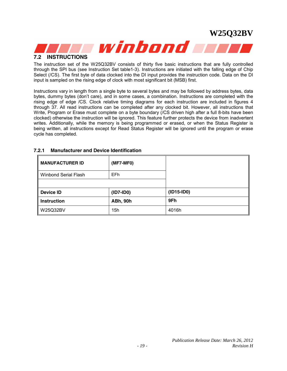<span id="page-18-0"></span>

#### **7.2 INSTRUCTIONS**

The instruction set of the W25Q32BV consists of thirty five basic instructions that are fully controlled through the SPI bus (see Instruction Set table1-3). Instructions are initiated with the falling edge of Chip Select (/CS). The first byte of data clocked into the DI input provides the instruction code. Data on the DI input is sampled on the rising edge of clock with most significant bit (MSB) first.

Instructions vary in length from a single byte to several bytes and may be followed by address bytes, data bytes, dummy bytes (don't care), and in some cases, a combination. Instructions are completed with the rising edge of edge /CS. Clock relative timing diagrams for each instruction are included in figures 4 through 37. All read instructions can be completed after any clocked bit. However, all instructions that Write, Program or Erase must complete on a byte boundary (/CS driven high after a full 8-bits have been clocked) otherwise the instruction will be ignored. This feature further protects the device from inadvertent writes. Additionally, while the memory is being programmed or erased, or when the Status Register is being written, all instructions except for Read Status Register will be ignored until the program or erase cycle has completed.

| <b>MANUFACTURER ID</b> | (MF7-MF0)       |              |
|------------------------|-----------------|--------------|
| Winbond Serial Flash   | EF <sub>h</sub> |              |
|                        |                 |              |
| Device ID              | $(ID7-ID0)$     | $(ID15-ID0)$ |
| <b>Instruction</b>     | <b>ABh, 90h</b> | 9Fh          |
| W25Q32BV               | 15h             | 4016h        |

#### **7.2.1 Manufacturer and Device Identification**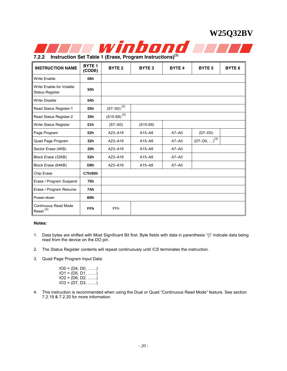<span id="page-19-0"></span>

**7.2.2 Instruction Set Table 1 (Erase, Program Instructions)(1)**

| <b>INSTRUCTION NAME</b>                             | <b>BYTE 1</b><br>(CODE) | <b>BYTE 2</b>                                     | <b>BYTE 3</b> | <b>BYTE 4</b> | <b>BYTE 5</b>              | BYTE <sub>6</sub> |
|-----------------------------------------------------|-------------------------|---------------------------------------------------|---------------|---------------|----------------------------|-------------------|
| <b>Write Enable</b>                                 | 06h                     |                                                   |               |               |                            |                   |
| Write Enable for Volatile<br><b>Status Register</b> | 50h                     |                                                   |               |               |                            |                   |
| <b>Write Disable</b>                                | 04h                     |                                                   |               |               |                            |                   |
| Read Status Register-1                              | 05h                     | $\left( \text{S7--S0}\right) ^{\left( 2\right) }$ |               |               |                            |                   |
| Read Status Register-2                              | 35h                     | $(S15-S8)^{(2)}$                                  |               |               |                            |                   |
| Write Status Register                               | 01h                     | $(S7-S0)$                                         | $(S15-S8)$    |               |                            |                   |
| Page Program                                        | 02 <sub>h</sub>         | A23-A16                                           | $A15 - A8$    | $A7 - A0$     | $(D7-D0)$                  |                   |
| Quad Page Program                                   | 32h                     | A23-A16                                           | $A15 - A8$    | $A7 - A0$     | $(D7-D0, )$ <sup>(3)</sup> |                   |
| Sector Erase (4KB)                                  | 20h                     | A23-A16                                           | $A15 - A8$    | $A7 - A0$     |                            |                   |
| Block Erase (32KB)                                  | 52h                     | A23-A16                                           | $A15 - A8$    | $A7 - A0$     |                            |                   |
| Block Erase (64KB)                                  | D <sub>8</sub> h        | A23-A16                                           | $A15 - A8$    | $A7 - A0$     |                            |                   |
| Chip Erase                                          | <b>C7h/60h</b>          |                                                   |               |               |                            |                   |
| Erase / Program Suspend                             | 75h                     |                                                   |               |               |                            |                   |
| Erase / Program Resume                              | 7Ah                     |                                                   |               |               |                            |                   |
| Power-down                                          | B9h                     |                                                   |               |               |                            |                   |
| <b>Continuous Read Mode</b><br>Reset $(4)$          | <b>FFh</b>              | FF <sub>h</sub>                                   |               |               |                            |                   |

#### **Notes:**

- 1. Data bytes are shifted with Most Significant Bit first. Byte fields with data in parenthesis "()" indicate data being read from the device on the DO pin.
- 2. The Status Register contents will repeat continuously until /CS terminates the instruction.
- 3. Quad Page Program Input Data:

| $IO0 = (D4, D0, \ldots)$ |  |
|--------------------------|--|
| $IO1 = (D5, D1, \ldots)$ |  |
| $IO2 = (D6, D2, \ldots)$ |  |
| $IO3 = (D7, D3, \ldots)$ |  |

4. This instruction is recommended when using the Dual or Quad "Continuous Read Mode" feature. See section 7.2.19 & 7.2.20 for more information.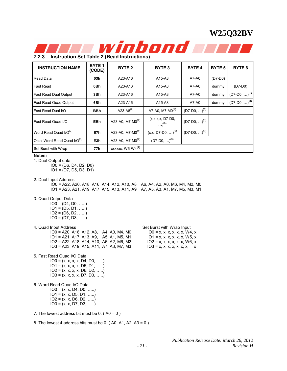<span id="page-20-0"></span>

**7.2.3 Instruction Set Table 2 (Read Instructions)** 

| <b>INSTRUCTION NAME</b>                 | <b>BYTE 1</b><br>(CODE) | BYTE <sub>2</sub>            | <b>BYTE 3</b>                     | <b>BYTE 4</b>     | BYTE <sub>5</sub> | BYTE <sub>6</sub> |
|-----------------------------------------|-------------------------|------------------------------|-----------------------------------|-------------------|-------------------|-------------------|
| Read Data                               | 03h                     | A23-A16                      | A15-A8                            | A7-A0             | $(D7-D0)$         |                   |
| <b>Fast Read</b>                        | 0Bh                     | A23-A16                      | A15-A8                            | A7-A0             | dummy             | $(D7-D0)$         |
| <b>Fast Read Dual Output</b>            | 3Bh                     | A23-A16                      | A15-A8                            | A7-A0             | dummy             | $(D7-D0, )^{(1)}$ |
| Fast Read Quad Output                   | 6Bh                     | A23-A16                      | A15-A8                            | A7-A0             | dummy             | $(D7-D0, )^{(3)}$ |
| Fast Read Dual I/O                      | <b>BBh</b>              | A23-A8 $^{(2)}$              | A7-A0, M7-M0 $^{(2)}$             | $(D7-D0, )^{(1)}$ |                   |                   |
| Fast Read Quad I/O                      | <b>EBh</b>              | A23-A0, M7-M0 $(4)$          | $(x, x, x, x, D7-D0,$<br>$^{(5)}$ | $(D7-D0, )^{(3)}$ |                   |                   |
| Word Read Quad $I/O^{(7)}$              | E7h                     |                              | $(x, x, D7-D0, )^{(6)}$           | $(D7-D0, )^{(3)}$ |                   |                   |
| Octal Word Read Quad I/O <sup>(8)</sup> | E <sub>3</sub> h        | A23-A0, M7-M0 <sup>(4)</sup> | $(D7-D0, )^{(3)}$                 |                   |                   |                   |
| Set Burst with Wrap                     | 77h                     | xxxxxx, $W6-W4^{(4)}$        |                                   |                   |                   |                   |

**Notes:** 

1. Dual Output data IO0 = (D6, D4, D2, D0)  $IO1 = (D7, D5, D3, D1)$ 

2. Dual Input Address

IO0 = A22, A20, A18, A16, A14, A12, A10, A8 A6, A4, A2, A0, M6, M4, M2, M0 IO1 = A23, A21, A19, A17, A15, A13, A11, A9 A7, A5, A3, A1, M7, M5, M3, M1

3. Quad Output Data

 $IO0 = (D4, D0, \ldots)$  $IO1 = (D5, D1, \ldots)$  $IO2 = (D6, D2, \ldots)$  $IO3 = (D7, D3, \ldots)$ 

4. Quad Input Address Set Burst with Wrap Input

 $IO0 = A20, A16, A12, A8, A4, A0, M4, M0$   $IO0 = x, x, x, x, x, x, W4, x$  $IO1 = A21, A17, A13, A9, A5, A1, M5, M1$   $IO1 = x, x, x, x, x, x, W5, x$ IO2 = A22, A18, A14, A10, A6, A2, M6, M2 IO2 = x, x, x, x, x, x, W6 x , IO3 = A23, A19, A15, A11, A7, A3, M7, M3

| 5. Fast Read Quad I/O Data |  |
|----------------------------|--|

 $IO0 = (x, x, x, x, D4, D0, \ldots)$  $IO1 = (x, x, x, x, D5, D1, \ldots)$ IO2 = (x, x, x, x, D6, D2, …..) IO3 = (x, x, x, x, D7, D3, …..)

6. Word Read Quad I/O Data

 $IO0 = (x, x, D4, D0, \ldots)$  $IO1 = (x, x, D5, D1, \ldots)$  $IO2 = (x, x, D6, D2, \ldots)$  $IO3 = (x, x, D7, D3, \ldots)$ 

7. The lowest address bit must be  $0.$  (A $0 = 0$ )

8. The lowest 4 address bits must be 0. ( A0, A1, A2, A3 = 0 )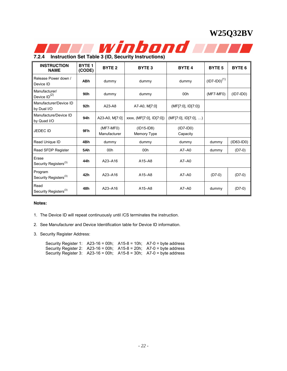<span id="page-21-0"></span>

**7.2.4 Instruction Set Table 3 (ID, Security Instructions)** 

| <b>INSTRUCTION</b><br><b>NAME</b>            | <b>BYTE1</b><br>(CODE) | BYTE <sub>2</sub>           | BYTE <sub>3</sub>           | <b>BYTE 4</b>           | <b>BYTE 5</b>     | BYTE <sub>6</sub> |
|----------------------------------------------|------------------------|-----------------------------|-----------------------------|-------------------------|-------------------|-------------------|
| Release Power down /<br>Device ID            | <b>ABh</b>             | dummy                       | dummy                       | dummy                   | $(ID7-ID0)^{(1)}$ |                   |
| Manufacturer/<br>Device $ID^{(2)}$           | 90 <sub>h</sub>        | dummy                       | dummy                       | 00h                     | $(MF7-MF0)$       | $(ID7-IDO)$       |
| Manufacturer/Device ID<br>by Dual I/O        | 92h                    | A23-A8                      | A7-A0, M[7:0]               | (MF[7:0], ID[7:0])      |                   |                   |
| Manufacture/Device ID<br>by Quad I/O         | 94h                    | A23-A0, M[7:0]              | xxxx, (MF[7:0], ID[7:0])    | (MF[7:0], ID[7:0], )    |                   |                   |
| <b>JEDEC ID</b>                              | 9Fh                    | $(MF7-MF0)$<br>Manufacturer | $(ID15-ID8)$<br>Memory Type | $(ID7-ID0)$<br>Capacity |                   |                   |
| Read Unique ID                               | 4Bh                    | dummy                       | dummy                       | dummy                   | dummy             | $(ID63-ID0)$      |
| Read SFDP Register                           | 5Ah                    | 00h                         | 00h                         | $A7 - A0$               | dummy             | $(D7-0)$          |
| Erase<br>Security Registers <sup>(3)</sup>   | 44h                    | $A23 - A16$                 | $A15 - A8$                  | $A7 - A0$               |                   |                   |
| Program<br>Security Registers <sup>(3)</sup> | 42h                    | $A23 - A16$                 | $A15 - A8$                  | $A7 - A0$               | $(D7-0)$          | $(D7-0)$          |
| Read<br>Security Registers <sup>(3)</sup>    | 48h                    | $A23 - A16$                 | $A15 - A8$                  | $A7 - A0$               | dummy             | $(D7-0)$          |

#### **Notes:**

1. The Device ID will repeat continuously until /CS terminates the instruction.

2. See Manufacturer and Device Identification table for Device ID information.

3. Security Register Address:

|  | Security Register 1: $A23-16 = 00h$ ; $A15-8 = 10h$ ; $A7-0 = b$ yte address       |
|--|------------------------------------------------------------------------------------|
|  | Security Register 2: $\,$ A23-16 = 00h; $\,$ A15-8 = 20h; $\,$ A7-0 = byte address |
|  | Security Register 3: A23-16 = 00h; A15-8 = 30h; A7-0 = byte address                |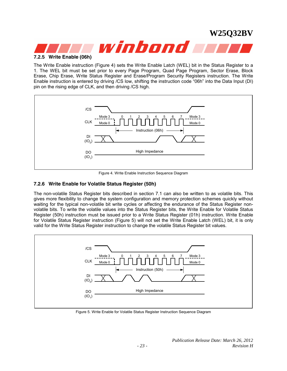# <span id="page-22-0"></span>winbond **A 7.2.5 Write Enable (06h)**

The Write Enable instruction (Figure 4) sets the Write Enable Latch (WEL) bit in the Status Register to a 1. The WEL bit must be set prior to every Page Program, Quad Page Program, Sector Erase, Block Erase, Chip Erase, Write Status Register and Erase/Program Security Registers instruction. The Write Enable instruction is entered by driving /CS low, shifting the instruction code "06h" into the Data Input (DI) pin on the rising edge of CLK, and then driving /CS high.



Figure 4. Write Enable Instruction Sequence Diagram

#### **7.2.6 Write Enable for Volatile Status Register (50h)**

The non-volatile Status Register bits described in section 7.1 can also be written to as volatile bits. This gives more flexibility to change the system configuration and memory protection schemes quickly without waiting for the typical non-volatile bit write cycles or affecting the endurance of the Status Register nonvolatile bits. To write the volatile values into the Status Register bits, the Write Enable for Volatile Status Register (50h) instruction must be issued prior to a Write Status Register (01h) instruction. Write Enable for Volatile Status Register instruction (Figure 5) will not set the Write Enable Latch (WEL) bit, it is only valid for the Write Status Register instruction to change the volatile Status Register bit values.



Figure 5. Write Enable for Volatile Status Register Instruction Sequence Diagram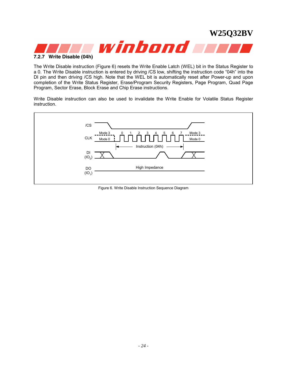<span id="page-23-0"></span>

The Write Disable instruction (Figure 6) resets the Write Enable Latch (WEL) bit in the Status Register to a 0. The Write Disable instruction is entered by driving /CS low, shifting the instruction code "04h" into the DI pin and then driving /CS high. Note that the WEL bit is automatically reset after Power-up and upon completion of the Write Status Register, Erase/Program Security Registers, Page Program, Quad Page Program, Sector Erase, Block Erase and Chip Erase instructions.

Write Disable instruction can also be used to invalidate the Write Enable for Volatile Status Register instruction.



Figure 6. Write Disable Instruction Sequence Diagram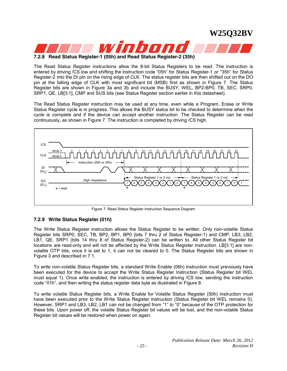<span id="page-24-0"></span>

**7.2.8 Read Status Register-1 (05h) and Read Status Register-2 (35h)** 

The Read Status Register instructions allow the 8-bit Status Registers to be read. The instruction is entered by driving /CS low and shifting the instruction code "05h" for Status Register-1 or "35h" for Status Register-2 into the DI pin on the rising edge of CLK. The status register bits are then shifted out on the DO pin at the falling edge of CLK with most significant bit (MSB) first as shown in Figure 7. The Status Register bits are shown in Figure 3a and 3b and include the BUSY, WEL, BP2-BP0, TB, SEC, SRP0, SRP1, QE, LB[3:1], CMP and SUS bits (see Status Register section earlier in this datasheet).

The Read Status Register instruction may be used at any time, even while a Program, Erase or Write Status Register cycle is in progress. This allows the BUSY status bit to be checked to determine when the cycle is complete and if the device can accept another instruction. The Status Register can be read continuously, as shown in Figure 7. The instruction is completed by driving /CS high.



Figure 7. Read Status Register Instruction Sequence Diagram

#### **7.2.9 Write Status Register (01h)**

The Write Status Register instruction allows the Status Register to be written. Only non-volatile Status Register bits SRP0, SEC, TB, BP2, BP1, BP0 (bits 7 thru 2 of Status Register-1) and CMP, LB3, LB2, LB1, QE, SRP1 (bits 14 thru 8 of Status Register-2) can be written to. All other Status Register bit locations are read-only and will not be affected by the Write Status Register instruction. LB[3:1] are nonvolatile OTP bits, once it is set to 1, it can not be cleared to 0. The Status Register bits are shown in Figure 3 and described in 7.1.

To write non-volatile Status Register bits, a standard Write Enable (06h) instruction must previously have been executed for the device to accept the Write Status Register Instruction (Status Register bit WEL must equal 1). Once write enabled, the instruction is entered by driving /CS low, sending the instruction code "01h", and then writing the status register data byte as illustrated in Figure 8.

To write volatile Status Register bits, a Write Enable for Volatile Status Register (50h) instruction must have been executed prior to the Write Status Register instruction (Status Register bit WEL remains 0). However, SRP1 and LB3, LB2, LB1 can not be changed from "1" to "0" because of the OTP protection for these bits. Upon power off, the volatile Status Register bit values will be lost, and the non-volatile Status Register bit values will be restored when power on again.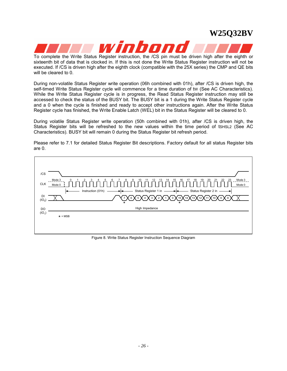# winhon

**W25Q32BV** 

To complete the Write Status Register instruction, the /CS pin must be driven high after the eighth or sixteenth bit of data that is clocked in. If this is not done the Write Status Register instruction will not be executed. If /CS is driven high after the eighth clock (compatible with the 25X series) the CMP and QE bits will be cleared to 0.

During non-volatile Status Register write operation (06h combined with 01h), after /CS is driven high, the self-timed Write Status Register cycle will commence for a time duration of tw (See AC Characteristics). While the Write Status Register cycle is in progress, the Read Status Register instruction may still be accessed to check the status of the BUSY bit. The BUSY bit is a 1 during the Write Status Register cycle and a 0 when the cycle is finished and ready to accept other instructions again. After the Write Status Register cycle has finished, the Write Enable Latch (WEL) bit in the Status Register will be cleared to 0.

During volatile Status Register write operation (50h combined with 01h), after /CS is driven high, the Status Register bits will be refreshed to the new values within the time period of tsHSL2 (See AC Characteristics). BUSY bit will remain 0 during the Status Register bit refresh period.

Please refer to 7.1 for detailed Status Register Bit descriptions. Factory default for all status Register bits are 0.



Figure 8. Write Status Register Instruction Sequence Diagram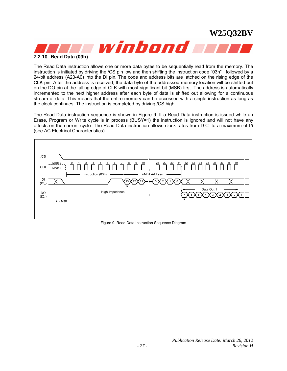<span id="page-26-0"></span>

The Read Data instruction allows one or more data bytes to be sequentially read from the memory. The instruction is initiated by driving the /CS pin low and then shifting the instruction code "03h" followed by a 24-bit address (A23-A0) into the DI pin. The code and address bits are latched on the rising edge of the CLK pin. After the address is received, the data byte of the addressed memory location will be shifted out on the DO pin at the falling edge of CLK with most significant bit (MSB) first. The address is automatically incremented to the next higher address after each byte of data is shifted out allowing for a continuous stream of data. This means that the entire memory can be accessed with a single instruction as long as the clock continues. The instruction is completed by driving /CS high.

The Read Data instruction sequence is shown in Figure 9. If a Read Data instruction is issued while an Erase, Program or Write cycle is in process (BUSY=1) the instruction is ignored and will not have any effects on the current cycle. The Read Data instruction allows clock rates from D.C. to a maximum of fR (see AC Electrical Characteristics).



Figure 9. Read Data Instruction Sequence Diagram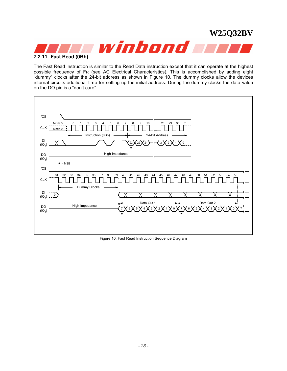<span id="page-27-0"></span>

The Fast Read instruction is similar to the Read Data instruction except that it can operate at the highest possible frequency of FR (see AC Electrical Characteristics). This is accomplished by adding eight "dummy" clocks after the 24-bit address as shown in Figure 10. The dummy clocks allow the devices internal circuits additional time for setting up the initial address. During the dummy clocks the data value on the DO pin is a "don't care".



Figure 10. Fast Read Instruction Sequence Diagram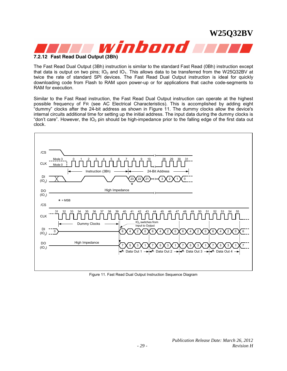<span id="page-28-0"></span>

#### **7.2.12 Fast Read Dual Output (3Bh)**

The Fast Read Dual Output (3Bh) instruction is similar to the standard Fast Read (0Bh) instruction except that data is output on two pins;  $IO<sub>0</sub>$  and  $IO<sub>1</sub>$ . This allows data to be transferred from the W25Q32BV at twice the rate of standard SPI devices. The Fast Read Dual Output instruction is ideal for quickly downloading code from Flash to RAM upon power-up or for applications that cache code-segments to RAM for execution.

Similar to the Fast Read instruction, the Fast Read Dual Output instruction can operate at the highest possible frequency of FR (see AC Electrical Characteristics). This is accomplished by adding eight "dummy" clocks after the 24-bit address as shown in Figure 11. The dummy clocks allow the device's internal circuits additional time for setting up the initial address. The input data during the dummy clocks is "don't care". However, the  $IO_0$  pin should be high-impedance prior to the falling edge of the first data out clock.



Figure 11. Fast Read Dual Output Instruction Sequence Diagram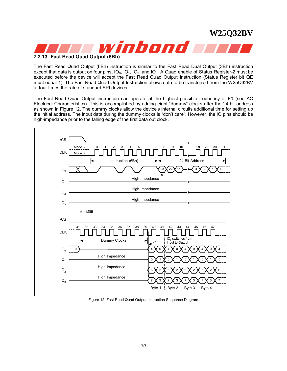<span id="page-29-0"></span>

#### **7.2.13 Fast Read Quad Output (6Bh)**

The Fast Read Quad Output (6Bh) instruction is similar to the Fast Read Dual Output (3Bh) instruction except that data is output on four pins,  $IO_0$ ,  $IO_1$ ,  $IO_2$ , and  $IO_3$ . A Quad enable of Status Register-2 must be executed before the device will accept the Fast Read Quad Output Instruction (Status Register bit QE must equal 1). The Fast Read Quad Output Instruction allows data to be transferred from the W25Q32BV at four times the rate of standard SPI devices.

The Fast Read Quad Output instruction can operate at the highest possible frequency of FR (see AC Electrical Characteristics). This is accomplished by adding eight "dummy" clocks after the 24-bit address as shown in Figure 12. The dummy clocks allow the device's internal circuits additional time for setting up the initial address. The input data during the dummy clocks is "don't care". However, the IO pins should be high-impedance prior to the falling edge of the first data out clock.



Figure 12. Fast Read Quad Output Instruction Sequence Diagram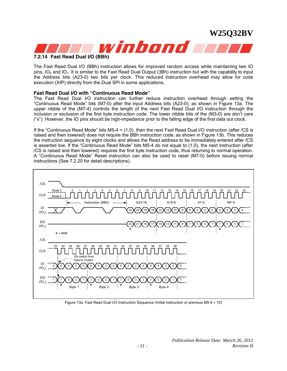<span id="page-30-0"></span>

#### **7.2.14 Fast Read Dual I/O (BBh)**

The Fast Read Dual I/O (BBh) instruction allows for improved random access while maintaining two IO pins,  $IO_0$  and  $IO_1$ . It is similar to the Fast Read Dual Output (3Bh) instruction but with the capability to input the Address bits (A23-0) two bits per clock. This reduced instruction overhead may allow for code execution (XIP) directly from the Dual SPI in some applications.

#### **Fast Read Dual I/O with "Continuous Read Mode"**

The Fast Read Dual I/O instruction can further reduce instruction overhead through setting the "Continuous Read Mode" bits (M7-0) after the input Address bits (A23-0), as shown in Figure 13a. The upper nibble of the (M7-4) controls the length of the next Fast Read Dual I/O instruction through the inclusion or exclusion of the first byte instruction code. The lower nibble bits of the (M3-0) are don't care ("x"). However, the IO pins should be high-impedance prior to the falling edge of the first data out clock.

If the "Continuous Read Mode" bits M5-4 = (1,0), then the next Fast Read Dual I/O instruction (after /CS is raised and then lowered) does not require the BBh instruction code, as shown in Figure 13b. This reduces the instruction sequence by eight clocks and allows the Read address to be immediately entered after /CS is asserted low. If the "Continuous Read Mode" bits M5-4 do not equal to (1,0), the next instruction (after /CS is raised and then lowered) requires the first byte instruction code, thus returning to normal operation. A "Continuous Read Mode" Reset instruction can also be used to reset (M7-0) before issuing normal instructions (See 7.2.20 for detail descriptions).



Figure 13a. Fast Read Dual I/O Instruction Sequence (Initial instruction or previous M5-4 ≠ 10)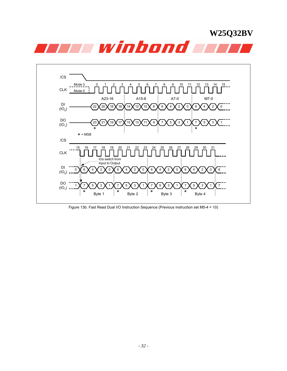



Figure 13b. Fast Read Dual I/O Instruction Sequence (Previous instruction set M5-4 = 10)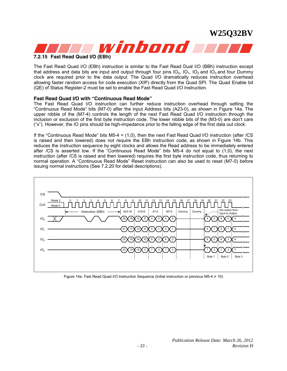<span id="page-32-0"></span>

#### **7.2.15 Fast Read Quad I/O (EBh)**

The Fast Read Quad I/O (EBh) instruction is similar to the Fast Read Dual I/O (BBh) instruction except that address and data bits are input and output through four pins  $IO_0$ ,  $IO_1$ ,  $IO_2$  and  $IO_3$  and four Dummy clock are required prior to the data output. The Quad I/O dramatically reduces instruction overhead allowing faster random access for code execution (XIP) directly from the Quad SPI. The Quad Enable bit (QE) of Status Register-2 must be set to enable the Fast Read Quad I/O Instruction.

#### **Fast Read Quad I/O with "Continuous Read Mode"**

The Fast Read Quad I/O instruction can further reduce instruction overhead through setting the "Continuous Read Mode" bits (M7-0) after the input Address bits (A23-0), as shown in Figure 14a. The upper nibble of the (M7-4) controls the length of the next Fast Read Quad I/O instruction through the inclusion or exclusion of the first byte instruction code. The lower nibble bits of the (M3-0) are don't care ("x"). However, the IO pins should be high-impedance prior to the falling edge of the first data out clock.

If the "Continuous Read Mode" bits M5-4 = (1,0), then the next Fast Read Quad I/O instruction (after /CS is raised and then lowered) does not require the EBh instruction code, as shown in Figure 14b. This reduces the instruction sequence by eight clocks and allows the Read address to be immediately entered after /CS is asserted low. If the "Continuous Read Mode" bits M5-4 do not equal to (1,0), the next instruction (after /CS is raised and then lowered) requires the first byte instruction code, thus returning to normal operation. A "Continuous Read Mode" Reset instruction can also be used to reset (M7-0) before issuing normal instructions (See 7.2.20 for detail descriptions).



Figure 14a. Fast Read Quad I/O Instruction Sequence (Initial instruction or previous M5-4 ≠ 10)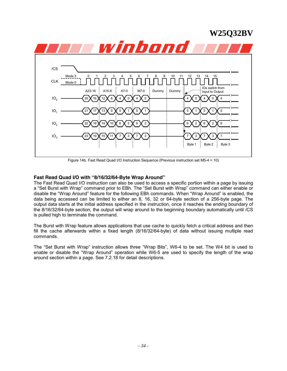

Figure 14b. Fast Read Quad I/O Instruction Sequence (Previous instruction set M5-4 = 10)

#### **Fast Read Quad I/O with "8/16/32/64-Byte Wrap Around"**

The Fast Read Quad I/O instruction can also be used to access a specific portion within a page by issuing a "Set Burst with Wrap" command prior to EBh. The "Set Burst with Wrap" command can either enable or disable the "Wrap Around" feature for the following EBh commands. When "Wrap Around" is enabled, the data being accessed can be limited to either an 8, 16, 32 or 64-byte section of a 256-byte page. The output data starts at the initial address specified in the instruction, once it reaches the ending boundary of the 8/16/32/64-byte section, the output will wrap around to the beginning boundary automatically until /CS is pulled high to terminate the command.

The Burst with Wrap feature allows applications that use cache to quickly fetch a critical address and then fill the cache afterwards within a fixed length (8/16/32/64-byte) of data without issuing multiple read commands.

The "Set Burst with Wrap" instruction allows three "Wrap Bits", W6-4 to be set. The W4 bit is used to enable or disable the "Wrap Around" operation while W6-5 are used to specify the length of the wrap around section within a page. See 7.2.18 for detail descriptions.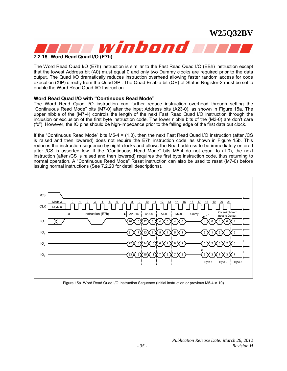

<span id="page-34-0"></span>

#### **7.2.16 Word Read Quad I/O (E7h)**

The Word Read Quad I/O (E7h) instruction is similar to the Fast Read Quad I/O (EBh) instruction except that the lowest Address bit (A0) must equal 0 and only two Dummy clocks are required prior to the data output. The Quad I/O dramatically reduces instruction overhead allowing faster random access for code execution (XIP) directly from the Quad SPI. The Quad Enable bit (QE) of Status Register-2 must be set to enable the Word Read Quad I/O Instruction.

#### **Word Read Quad I/O with "Continuous Read Mode"**

The Word Read Quad I/O instruction can further reduce instruction overhead through setting the "Continuous Read Mode" bits (M7-0) after the input Address bits (A23-0), as shown in Figure 15a. The upper nibble of the (M7-4) controls the length of the next Fast Read Quad I/O instruction through the inclusion or exclusion of the first byte instruction code. The lower nibble bits of the (M3-0) are don't care ("x"). However, the IO pins should be high-impedance prior to the falling edge of the first data out clock.

If the "Continuous Read Mode" bits M5-4 = (1,0), then the next Fast Read Quad I/O instruction (after /CS is raised and then lowered) does not require the E7h instruction code, as shown in Figure 15b. This reduces the instruction sequence by eight clocks and allows the Read address to be immediately entered after /CS is asserted low. If the "Continuous Read Mode" bits M5-4 do not equal to (1,0), the next instruction (after /CS is raised and then lowered) requires the first byte instruction code, thus returning to normal operation. A "Continuous Read Mode" Reset instruction can also be used to reset (M7-0) before issuing normal instructions (See 7.2.20 for detail descriptions).



Figure 15a. Word Read Quad I/O Instruction Sequence (Initial instruction or previous M5-4 ≠ 10)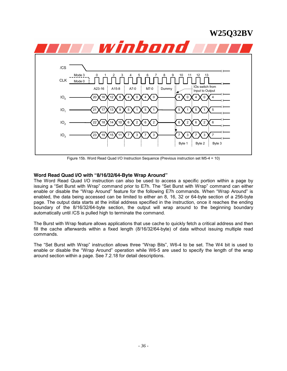

Figure 15b. Word Read Quad I/O Instruction Sequence (Previous instruction set M5-4 = 10)

#### **Word Read Quad I/O with "8/16/32/64-Byte Wrap Around"**

The Word Read Quad I/O instruction can also be used to access a specific portion within a page by issuing a "Set Burst with Wrap" command prior to E7h. The "Set Burst with Wrap" command can either enable or disable the "Wrap Around" feature for the following E7h commands. When "Wrap Around" is enabled, the data being accessed can be limited to either an 8, 16, 32 or 64-byte section of a 256-byte page. The output data starts at the initial address specified in the instruction, once it reaches the ending boundary of the 8/16/32/64-byte section, the output will wrap around to the beginning boundary automatically until /CS is pulled high to terminate the command.

The Burst with Wrap feature allows applications that use cache to quickly fetch a critical address and then fill the cache afterwards within a fixed length (8/16/32/64-byte) of data without issuing multiple read commands.

The "Set Burst with Wrap" instruction allows three "Wrap Bits", W6-4 to be set. The W4 bit is used to enable or disable the "Wrap Around" operation while W6-5 are used to specify the length of the wrap around section within a page. See 7.2.18 for detail descriptions.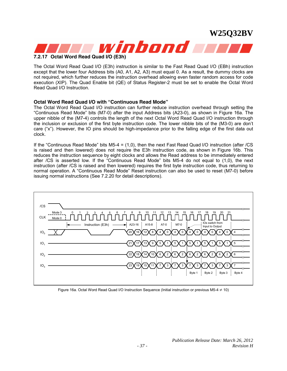

#### **7.2.17 Octal Word Read Quad I/O (E3h)**

The Octal Word Read Quad I/O (E3h) instruction is similar to the Fast Read Quad I/O (EBh) instruction except that the lower four Address bits (A0, A1, A2, A3) must equal 0. As a result, the dummy clocks are not required, which further reduces the instruction overhead allowing even faster random access for code execution (XIP). The Quad Enable bit (QE) of Status Register-2 must be set to enable the Octal Word Read Quad I/O Instruction.

#### **Octal Word Read Quad I/O with "Continuous Read Mode"**

The Octal Word Read Quad I/O instruction can further reduce instruction overhead through setting the "Continuous Read Mode" bits (M7-0) after the input Address bits (A23-0), as shown in Figure 16a. The upper nibble of the (M7-4) controls the length of the next Octal Word Read Quad I/O instruction through the inclusion or exclusion of the first byte instruction code. The lower nibble bits of the (M3-0) are don't care ("x"). However, the IO pins should be high-impedance prior to the falling edge of the first data out clock.

If the "Continuous Read Mode" bits M5-4 = (1,0), then the next Fast Read Quad I/O instruction (after /CS is raised and then lowered) does not require the E3h instruction code, as shown in Figure 16b. This reduces the instruction sequence by eight clocks and allows the Read address to be immediately entered after /CS is asserted low. If the "Continuous Read Mode" bits M5-4 do not equal to (1,0), the next instruction (after /CS is raised and then lowered) requires the first byte instruction code, thus returning to normal operation. A "Continuous Read Mode" Reset instruction can also be used to reset (M7-0) before issuing normal instructions (See 7.2.20 for detail descriptions).



Figure 16a. Octal Word Read Quad I/O Instruction Sequence (Initial instruction or previous M5-4 ≠ 10)

**W25Q32BV**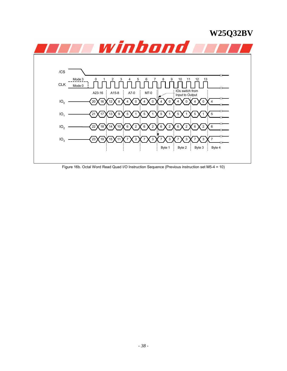

Figure 16b. Octal Word Read Quad I/O Instruction Sequence (Previous instruction set M5-4 = 10)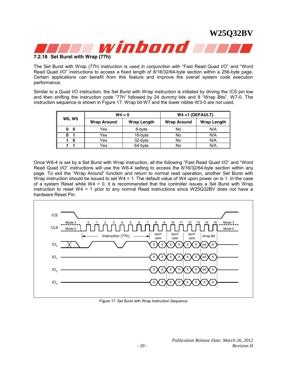

**7.2.18 Set Burst with Wrap (77h)** 

The Set Burst with Wrap (77h) instruction is used in conjunction with "Fast Read Quad I/O" and "Word Read Quad I/O" instructions to access a fixed length of 8/16/32/64-byte section within a 256-byte page. Certain applications can benefit from this feature and improve the overall system code execution performance.

Similar to a Quad I/O instruction, the Set Burst with Wrap instruction is initiated by driving the /CS pin low and then shifting the instruction code "77h" followed by 24 dummy bits and 8 "Wrap Bits", W7-0. The instruction sequence is shown in Figure 17. Wrap bit W7 and the lower nibble W3-0 are not used.

|               |                    | $W4 = 0$           | $W4 = 1$ (DEFAULT) |                    |  |  |
|---------------|--------------------|--------------------|--------------------|--------------------|--|--|
| <b>W6, W5</b> | <b>Wrap Around</b> | <b>Wrap Length</b> | <b>Wrap Around</b> | <b>Wrap Length</b> |  |  |
| 0<br>0        | Yes                | 8-byte             | No                 | N/A                |  |  |
|               | Yes                | 16-byte            | No                 | N/A                |  |  |
| n             | Yes                | 32-byte            | No                 | N/A                |  |  |
|               | Yes                | 64-byte            | No                 | N/A                |  |  |

Once W6-4 is set by a Set Burst with Wrap instruction, all the following "Fast Read Quad I/O" and "Word Read Quad I/O" instructions will use the W6-4 setting to access the 8/16/32/64-byte section within any page. To exit the "Wrap Around" function and return to normal read operation, another Set Burst with Wrap instruction should be issued to set W4 = 1. The default value of W4 upon power on is 1. In the case of a system Reset while  $W4 = 0$ , it is recommended that the controller issues a Set Burst with Wrap instruction to reset W4 = 1 prior to any normal Read instructions since W25Q32BV does not have a hardware Reset Pin.



Figure 17. Set Burst with Wrap Instruction Sequence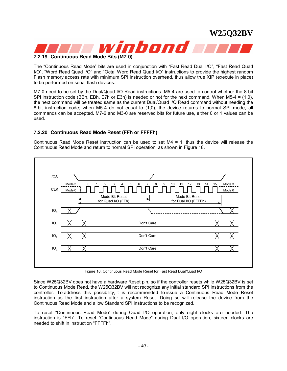

#### **7.2.19 Continuous Read Mode Bits (M7-0)**

The "Continuous Read Mode" bits are used in conjunction with "Fast Read Dual I/O", "Fast Read Quad I/O", "Word Read Quad I/O" and "Octal Word Read Quad I/O" instructions to provide the highest random Flash memory access rate with minimum SPI instruction overhead, thus allow true XIP (execute in place) to be performed on serial flash devices.

M7-0 need to be set by the Dual/Quad I/O Read instructions. M5-4 are used to control whether the 8-bit SPI instruction code (BBh, EBh, E7h or E3h) is needed or not for the next command. When M5-4 = (1,0), the next command will be treated same as the current Dual/Quad I/O Read command without needing the 8-bit instruction code; when M5-4 do not equal to (1,0), the device returns to normal SPI mode, all commands can be accepted. M7-6 and M3-0 are reserved bits for future use, either 0 or 1 values can be used.

#### **7.2.20 Continuous Read Mode Reset (FFh or FFFFh)**

Continuous Read Mode Reset instruction can be used to set M4 = 1, thus the device will release the Continuous Read Mode and return to normal SPI operation, as shown in Figure 18.



Figure 18. Continuous Read Mode Reset for Fast Read Dual/Quad I/O

Since W25Q32BV does not have a hardware Reset pin, so if the controller resets while W25Q32BV is set to Continuous Mode Read, the W25Q32BV will not recognize any initial standard SPI instructions from the controller. To address this possibility, it is recommended to issue a Continuous Read Mode Reset instruction as the first instruction after a system Reset. Doing so will release the device from the Continuous Read Mode and allow Standard SPI instructions to be recognized.

To reset "Continuous Read Mode" during Quad I/O operation, only eight clocks are needed. The instruction is "FFh". To reset "Continuous Read Mode" during Dual I/O operation, sixteen clocks are needed to shift in instruction "FFFFh".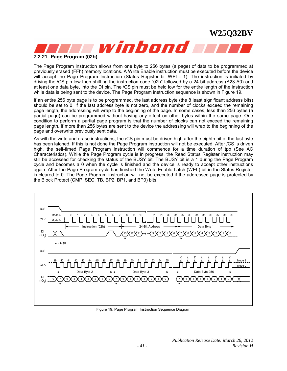

The Page Program instruction allows from one byte to 256 bytes (a page) of data to be programmed at previously erased (FFh) memory locations. A Write Enable instruction must be executed before the device will accept the Page Program Instruction (Status Register bit WEL= 1). The instruction is initiated by driving the /CS pin low then shifting the instruction code "02h" followed by a 24-bit address (A23-A0) and at least one data byte, into the DI pin. The /CS pin must be held low for the entire length of the instruction while data is being sent to the device. The Page Program instruction sequence is shown in Figure 19.

If an entire 256 byte page is to be programmed, the last address byte (the 8 least significant address bits) should be set to 0. If the last address byte is not zero, and the number of clocks exceed the remaining page length, the addressing will wrap to the beginning of the page. In some cases, less than 256 bytes (a partial page) can be programmed without having any effect on other bytes within the same page. One condition to perform a partial page program is that the number of clocks can not exceed the remaining page length. If more than 256 bytes are sent to the device the addressing will wrap to the beginning of the page and overwrite previously sent data.

As with the write and erase instructions, the /CS pin must be driven high after the eighth bit of the last byte has been latched. If this is not done the Page Program instruction will not be executed. After /CS is driven high, the self-timed Page Program instruction will commence for a time duration of tpp (See AC Characteristics). While the Page Program cycle is in progress, the Read Status Register instruction may still be accessed for checking the status of the BUSY bit. The BUSY bit is a 1 during the Page Program cycle and becomes a 0 when the cycle is finished and the device is ready to accept other instructions again. After the Page Program cycle has finished the Write Enable Latch (WEL) bit in the Status Register is cleared to 0. The Page Program instruction will not be executed if the addressed page is protected by the Block Protect (CMP, SEC, TB, BP2, BP1, and BP0) bits.



Figure 19. Page Program Instruction Sequence Diagram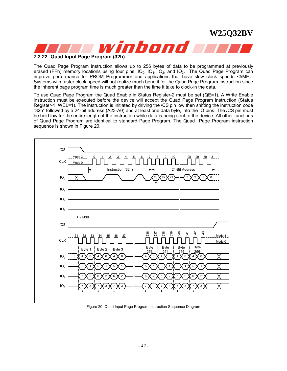

The Quad Page Program instruction allows up to 256 bytes of data to be programmed at previously erased (FFh) memory locations using four pins:  $IO_0$ ,  $IO_1$ ,  $IO_2$ , and  $IO_3$ . The Quad Page Program can improve performance for PROM Programmer and applications that have slow clock speeds <5MHz. Systems with faster clock speed will not realize much benefit for the Quad Page Program instruction since the inherent page program time is much greater than the time it take to clock-in the data.

To use Quad Page Program the Quad Enable in Status Register-2 must be set (QE=1). A Write Enable instruction must be executed before the device will accept the Quad Page Program instruction (Status Register-1, WEL=1). The instruction is initiated by driving the /CS pin low then shifting the instruction code "32h" followed by a 24-bit address (A23-A0) and at least one data byte, into the IO pins. The /CS pin must be held low for the entire length of the instruction while data is being sent to the device. All other functions of Quad Page Program are identical to standard Page Program. The Quad Page Program instruction sequence is shown in Figure 20.



Figure 20. Quad Input Page Program Instruction Sequence Diagram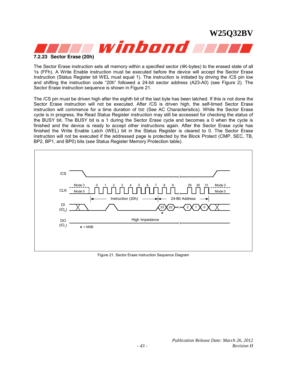

The Sector Erase instruction sets all memory within a specified sector (4K-bytes) to the erased state of all 1s (FFh). A Write Enable instruction must be executed before the device will accept the Sector Erase Instruction (Status Register bit WEL must equal 1). The instruction is initiated by driving the /CS pin low and shifting the instruction code "20h" followed a 24-bit sector address (A23-A0) (see Figure 2). The Sector Erase instruction sequence is shown in Figure 21.

The /CS pin must be driven high after the eighth bit of the last byte has been latched. If this is not done the Sector Erase instruction will not be executed. After /CS is driven high, the self-timed Sector Erase instruction will commence for a time duration of tSE (See AC Characteristics). While the Sector Erase cycle is in progress, the Read Status Register instruction may still be accessed for checking the status of the BUSY bit. The BUSY bit is a 1 during the Sector Erase cycle and becomes a 0 when the cycle is finished and the device is ready to accept other instructions again. After the Sector Erase cycle has finished the Write Enable Latch (WEL) bit in the Status Register is cleared to 0. The Sector Erase instruction will not be executed if the addressed page is protected by the Block Protect (CMP, SEC, TB, BP2, BP1, and BP0) bits (see Status Register Memory Protection table).



Figure 21. Sector Erase Instruction Sequence Diagram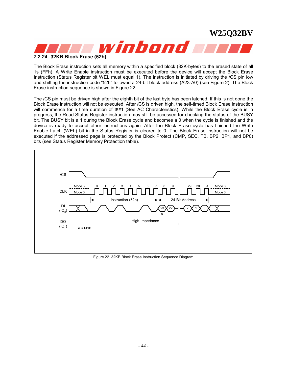

#### **7.2.24 32KB Block Erase (52h)**

The Block Erase instruction sets all memory within a specified block (32K-bytes) to the erased state of all 1s (FFh). A Write Enable instruction must be executed before the device will accept the Block Erase Instruction (Status Register bit WEL must equal 1). The instruction is initiated by driving the /CS pin low and shifting the instruction code "52h" followed a 24-bit block address (A23-A0) (see Figure 2). The Block Erase instruction sequence is shown in Figure 22.

The /CS pin must be driven high after the eighth bit of the last byte has been latched. If this is not done the Block Erase instruction will not be executed. After /CS is driven high, the self-timed Block Erase instruction will commence for a time duration of tBE1 (See AC Characteristics). While the Block Erase cycle is in progress, the Read Status Register instruction may still be accessed for checking the status of the BUSY bit. The BUSY bit is a 1 during the Block Erase cycle and becomes a 0 when the cycle is finished and the device is ready to accept other instructions again. After the Block Erase cycle has finished the Write Enable Latch (WEL) bit in the Status Register is cleared to 0. The Block Erase instruction will not be executed if the addressed page is protected by the Block Protect (CMP, SEC, TB, BP2, BP1, and BP0) bits (see Status Register Memory Protection table).



Figure 22. 32KB Block Erase Instruction Sequence Diagram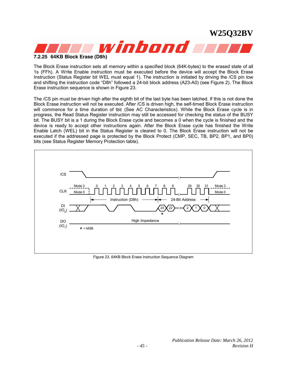

#### **7.2.25 64KB Block Erase (D8h)**

The Block Erase instruction sets all memory within a specified block (64K-bytes) to the erased state of all 1s (FFh). A Write Enable instruction must be executed before the device will accept the Block Erase Instruction (Status Register bit WEL must equal 1). The instruction is initiated by driving the /CS pin low and shifting the instruction code "D8h" followed a 24-bit block address (A23-A0) (see Figure 2). The Block Erase instruction sequence is shown in Figure 23.

The /CS pin must be driven high after the eighth bit of the last byte has been latched. If this is not done the Block Erase instruction will not be executed. After /CS is driven high, the self-timed Block Erase instruction will commence for a time duration of tBE (See AC Characteristics). While the Block Erase cycle is in progress, the Read Status Register instruction may still be accessed for checking the status of the BUSY bit. The BUSY bit is a 1 during the Block Erase cycle and becomes a 0 when the cycle is finished and the device is ready to accept other instructions again. After the Block Erase cycle has finished the Write Enable Latch (WEL) bit in the Status Register is cleared to 0. The Block Erase instruction will not be executed if the addressed page is protected by the Block Protect (CMP, SEC, TB, BP2, BP1, and BP0) bits (see Status Register Memory Protection table).



Figure 23. 64KB Block Erase Instruction Sequence Diagram

**W25Q32BV**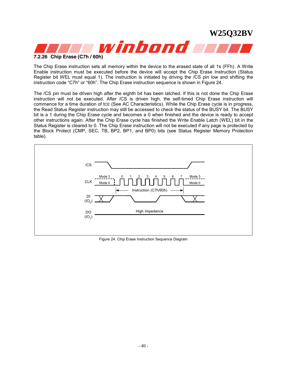

The Chip Erase instruction sets all memory within the device to the erased state of all 1s (FFh). A Write Enable instruction must be executed before the device will accept the Chip Erase Instruction (Status Register bit WEL must equal 1). The instruction is initiated by driving the /CS pin low and shifting the instruction code "C7h" or "60h". The Chip Erase instruction sequence is shown in Figure 24.

The /CS pin must be driven high after the eighth bit has been latched. If this is not done the Chip Erase instruction will not be executed. After /CS is driven high, the self-timed Chip Erase instruction will commence for a time duration of tCE (See AC Characteristics). While the Chip Erase cycle is in progress, the Read Status Register instruction may still be accessed to check the status of the BUSY bit. The BUSY bit is a 1 during the Chip Erase cycle and becomes a 0 when finished and the device is ready to accept other instructions again. After the Chip Erase cycle has finished the Write Enable Latch (WEL) bit in the Status Register is cleared to 0. The Chip Erase instruction will not be executed if any page is protected by the Block Protect (CMP, SEC, TB, BP2, BP1, and BP0) bits (see Status Register Memory Protection table).



Figure 24. Chip Erase Instruction Sequence Diagram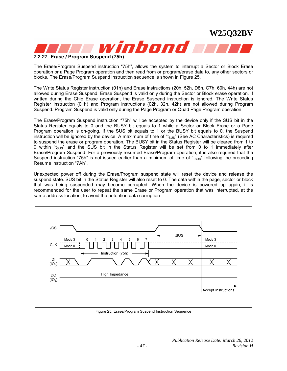

The Erase/Program Suspend instruction "75h", allows the system to interrupt a Sector or Block Erase operation or a Page Program operation and then read from or program/erase data to, any other sectors or blocks. The Erase/Program Suspend instruction sequence is shown in Figure 25.

The Write Status Register instruction (01h) and Erase instructions (20h, 52h, D8h, C7h, 60h, 44h) are not allowed during Erase Suspend. Erase Suspend is valid only during the Sector or Block erase operation. If written during the Chip Erase operation, the Erase Suspend instruction is ignored. The Write Status Register instruction (01h) and Program instructions (02h, 32h, 42h) are not allowed during Program Suspend. Program Suspend is valid only during the Page Program or Quad Page Program operation.

The Erase/Program Suspend instruction "75h" will be accepted by the device only if the SUS bit in the Status Register equals to 0 and the BUSY bit equals to 1 while a Sector or Block Erase or a Page Program operation is on-going. If the SUS bit equals to 1 or the BUSY bit equals to 0, the Suspend instruction will be ignored by the device. A maximum of time of "t<sub>SUS</sub>" (See AC Characteristics) is required to suspend the erase or program operation. The BUSY bit in the Status Register will be cleared from 1 to 0 within " $t_{SUS}$ " and the SUS bit in the Status Register will be set from 0 to 1 immediately after Erase/Program Suspend. For a previously resumed Erase/Program operation, it is also required that the Suspend instruction "75h" is not issued earlier than a minimum of time of " $t_{SUS}$ " following the preceding Resume instruction "7Ah".

Unexpected power off during the Erase/Program suspend state will reset the device and release the suspend state. SUS bit in the Status Register will also reset to 0. The data within the page, sector or block that was being suspended may become corrupted. When the device is powered up again, it is recommended for the user to repeat the same Erase or Program operation that was interrupted, at the same address location, to avoid the potention data corruption.



Figure 25. Erase/Program Suspend Instruction Sequence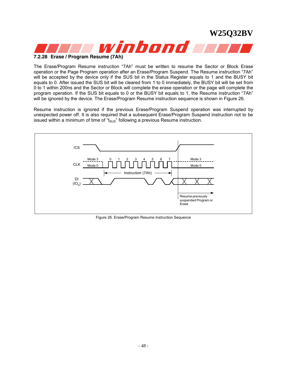

#### **7.2.28 Erase / Program Resume (7Ah)**

The Erase/Program Resume instruction "7Ah" must be written to resume the Sector or Block Erase operation or the Page Program operation after an Erase/Program Suspend. The Resume instruction "7Ah" will be accepted by the device only if the SUS bit in the Status Register equals to 1 and the BUSY bit equals to 0. After issued the SUS bit will be cleared from 1 to 0 immediately, the BUSY bit will be set from 0 to 1 within 200ns and the Sector or Block will complete the erase operation or the page will complete the program operation. If the SUS bit equals to 0 or the BUSY bit equals to 1, the Resume instruction "7Ah" will be ignored by the device. The Erase/Program Resume instruction sequence is shown in Figure 26.

Resume instruction is ignored if the previous Erase/Program Suspend operation was interrupted by unexpected power off. It is also required that a subsequent Erase/Program Suspend instruction not to be issued within a minimum of time of " $t_{SUS}$ " following a previous Resume instruction.



Figure 26. Erase/Program Resume Instruction Sequence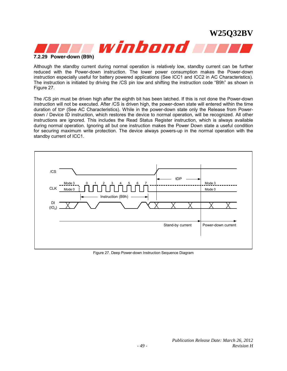

Although the standby current during normal operation is relatively low, standby current can be further reduced with the Power-down instruction. The lower power consumption makes the Power-down instruction especially useful for battery powered applications (See ICC1 and ICC2 in AC Characteristics). The instruction is initiated by driving the /CS pin low and shifting the instruction code "B9h" as shown in Figure 27.

The /CS pin must be driven high after the eighth bit has been latched. If this is not done the Power-down instruction will not be executed. After /CS is driven high, the power-down state will entered within the time duration of tDP (See AC Characteristics). While in the power-down state only the Release from Powerdown / Device ID instruction, which restores the device to normal operation, will be recognized. All other instructions are ignored. This includes the Read Status Register instruction, which is always available during normal operation. Ignoring all but one instruction makes the Power Down state a useful condition for securing maximum write protection. The device always powers-up in the normal operation with the standby current of ICC1.



Figure 27. Deep Power-down Instruction Sequence Diagram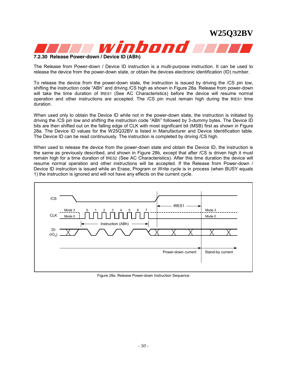



**7.2.30 Release Power-down / Device ID (ABh)** 

The Release from Power-down / Device ID instruction is a multi-purpose instruction. It can be used to release the device from the power-down state, or obtain the devices electronic identification (ID) number.

To release the device from the power-down state, the instruction is issued by driving the /CS pin low, shifting the instruction code "ABh" and driving /CS high as shown in Figure 28a. Release from power-down will take the time duration of tRES1 (See AC Characteristics) before the device will resume normal operation and other instructions are accepted. The /CS pin must remain high during the tRES1 time duration.

When used only to obtain the Device ID while not in the power-down state, the instruction is initiated by driving the /CS pin low and shifting the instruction code "ABh" followed by 3-dummy bytes. The Device ID bits are then shifted out on the falling edge of CLK with most significant bit (MSB) first as shown in Figure 28a. The Device ID values for the W25Q32BV is listed in Manufacturer and Device Identification table. The Device ID can be read continuously. The instruction is completed by driving /CS high.

When used to release the device from the power-down state and obtain the Device ID, the instruction is the same as previously described, and shown in Figure 28b, except that after /CS is driven high it must remain high for a time duration of tRES2 (See AC Characteristics). After this time duration the device will resume normal operation and other instructions will be accepted. If the Release from Power-down / Device ID instruction is issued while an Erase, Program or Write cycle is in process (when BUSY equals 1) the instruction is ignored and will not have any effects on the current cycle.



Figure 28a. Release Power-down Instruction Sequence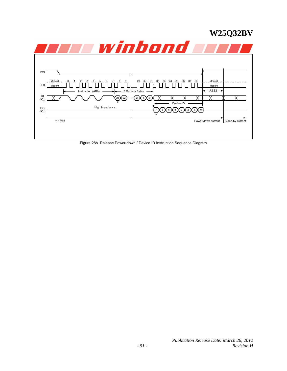

*Publication Release Date: March 26, 2012 - 51 - Revision H*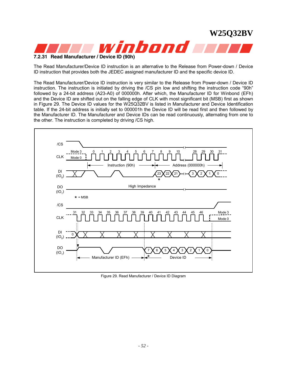

The Read Manufacturer/Device ID instruction is an alternative to the Release from Power-down / Device ID instruction that provides both the JEDEC assigned manufacturer ID and the specific device ID.

The Read Manufacturer/Device ID instruction is very similar to the Release from Power-down / Device ID instruction. The instruction is initiated by driving the /CS pin low and shifting the instruction code "90h" followed by a 24-bit address (A23-A0) of 000000h. After which, the Manufacturer ID for Winbond (EFh) and the Device ID are shifted out on the falling edge of CLK with most significant bit (MSB) first as shown in Figure 29. The Device ID values for the W25Q32BV is listed in Manufacturer and Device Identification table. If the 24-bit address is initially set to 000001h the Device ID will be read first and then followed by the Manufacturer ID. The Manufacturer and Device IDs can be read continuously, alternating from one to the other. The instruction is completed by driving /CS high.



Figure 29. Read Manufacturer / Device ID Diagram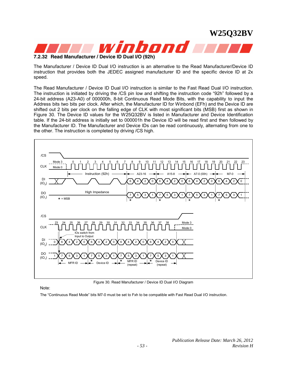

**7.2.32 Read Manufacturer / Device ID Dual I/O (92h)** 

The Manufacturer / Device ID Dual I/O instruction is an alternative to the Read Manufacturer/Device ID instruction that provides both the JEDEC assigned manufacturer ID and the specific device ID at 2x speed.

The Read Manufacturer / Device ID Dual I/O instruction is similar to the Fast Read Dual I/O instruction. The instruction is initiated by driving the /CS pin low and shifting the instruction code "92h" followed by a 24-bit address (A23-A0) of 000000h, 8-bit Continuous Read Mode Bits, with the capability to input the Address bits two bits per clock. After which, the Manufacturer ID for Winbond (EFh) and the Device ID are shifted out 2 bits per clock on the falling edge of CLK with most significant bits (MSB) first as shown in Figure 30. The Device ID values for the W25Q32BV is listed in Manufacturer and Device Identification table. If the 24-bit address is initially set to 000001h the Device ID will be read first and then followed by the Manufacturer ID. The Manufacturer and Device IDs can be read continuously, alternating from one to the other. The instruction is completed by driving /CS high.



Figure 30. Read Manufacturer / Device ID Dual I/O Diagram

Note:

The "Continuous Read Mode" bits M7-0 must be set to Fxh to be compatible with Fast Read Dual I/O instruction.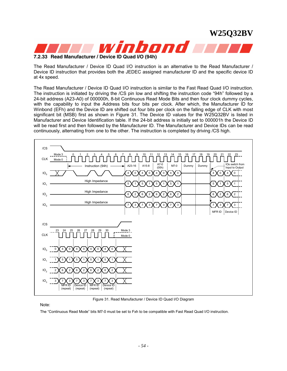

#### **7.2.33 Read Manufacturer / Device ID Quad I/O (94h)**

The Read Manufacturer / Device ID Quad I/O instruction is an alternative to the Read Manufacturer / Device ID instruction that provides both the JEDEC assigned manufacturer ID and the specific device ID at 4x speed.

The Read Manufacturer / Device ID Quad I/O instruction is similar to the Fast Read Quad I/O instruction. The instruction is initiated by driving the /CS pin low and shifting the instruction code "94h" followed by a 24-bit address (A23-A0) of 000000h, 8-bit Continuous Read Mode Bits and then four clock dummy cycles, with the capability to input the Address bits four bits per clock. After which, the Manufacturer ID for Winbond (EFh) and the Device ID are shifted out four bits per clock on the falling edge of CLK with most significant bit (MSB) first as shown in Figure 31. The Device ID values for the W25Q32BV is listed in Manufacturer and Device Identification table. If the 24-bit address is initially set to 000001h the Device ID will be read first and then followed by the Manufacturer ID. The Manufacturer and Device IDs can be read continuously, alternating from one to the other. The instruction is completed by driving /CS high.



Figure 31. Read Manufacturer / Device ID Quad I/O Diagram

Note:

The "Continuous Read Mode" bits M7-0 must be set to Fxh to be compatible with Fast Read Quad I/O instruction.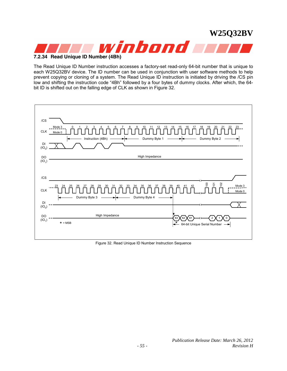

**7.2.34 Read Unique ID Number (4Bh)** 

The Read Unique ID Number instruction accesses a factory-set read-only 64-bit number that is unique to each W25Q32BV device. The ID number can be used in conjunction with user software methods to help prevent copying or cloning of a system. The Read Unique ID instruction is initiated by driving the /CS pin low and shifting the instruction code "4Bh" followed by a four bytes of dummy clocks. After which, the 64 bit ID is shifted out on the falling edge of CLK as shown in Figure 32.



Figure 32. Read Unique ID Number Instruction Sequence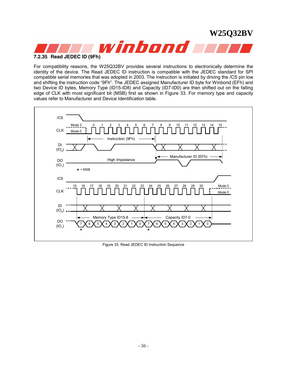

For compatibility reasons, the W25Q32BV provides several instructions to electronically determine the identity of the device. The Read JEDEC ID instruction is compatible with the JEDEC standard for SPI compatible serial memories that was adopted in 2003. The instruction is initiated by driving the /CS pin low and shifting the instruction code "9Fh". The JEDEC assigned Manufacturer ID byte for Winbond (EFh) and two Device ID bytes, Memory Type (ID15-ID8) and Capacity (ID7-ID0) are then shifted out on the falling edge of CLK with most significant bit (MSB) first as shown in Figure 33. For memory type and capacity values refer to Manufacturer and Device Identification table.



Figure 33. Read JEDEC ID Instruction Sequence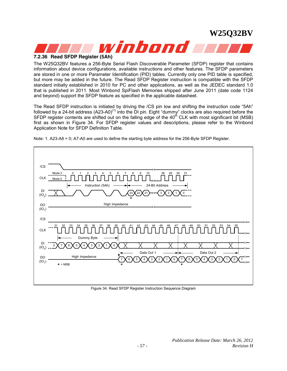

#### **7.2.36 Read SFDP Register (5Ah)**

The W25Q32BV features a 256-Byte Serial Flash Discoverable Parameter (SFDP) register that contains information about device configurations, available instructions and other features. The SFDP parameters are stored in one or more Parameter Identification (PID) tables. Currently only one PID table is specified, but more may be added in the future. The Read SFDP Register instruction is compatible with the SFDP standard initially established in 2010 for PC and other applications, as well as the JEDEC standard 1.0 that is published in 2011. Most Winbond SpiFlash Memories shipped after June 2011 (date code 1124 and beyond) support the SFDP feature as specified in the applicable datasheet.

The Read SFDP instruction is initiated by driving the /CS pin low and shifting the instruction code "5Ah" followed by a 24-bit address (A23-A0)<sup>(1)</sup> into the DI pin. Eight "dummy" clocks are also required before the SFDP register contents are shifted out on the falling edge of the  $40^{th}$  CLK with most significant bit (MSB) first as shown in Figure 34. For SFDP register values and descriptions, please refer to the Winbond Application Note for SFDP Definition Table.



Note: 1. A23-A8 = 0; A7-A0 are used to define the starting byte address for the 256-Byte SFDP Register.

Figure 34. Read SFDP Register Instruction Sequence Diagram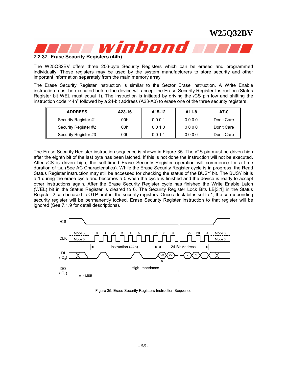

#### **7.2.37 Erase Security Registers (44h)**

The W25Q32BV offers three 256-byte Security Registers which can be erased and programmed individually. These registers may be used by the system manufacturers to store security and other important information separately from the main memory array.

The Erase Security Register instruction is similar to the Sector Erase instruction. A Write Enable instruction must be executed before the device will accept the Erase Security Register Instruction (Status Register bit WEL must equal 1). The instruction is initiated by driving the /CS pin low and shifting the instruction code "44h" followed by a 24-bit address (A23-A0) to erase one of the three security registers.

| <b>ADDRESS</b>       | A23-16 | A <sub>15</sub> -12 | A11-8 | A7-0       |
|----------------------|--------|---------------------|-------|------------|
| Security Register #1 | 00h    | 0001                | 0000  | Don't Care |
| Security Register #2 | 00h    | 0010                | 0000  | Don't Care |
| Security Register #3 | 00h    | 0011                | 0000  | Don't Care |

The Erase Security Register instruction sequence is shown in Figure 35. The /CS pin must be driven high after the eighth bit of the last byte has been latched. If this is not done the instruction will not be executed. After /CS is driven high, the self-timed Erase Security Register operation will commence for a time duration of tse (See AC Characteristics). While the Erase Security Register cycle is in progress, the Read Status Register instruction may still be accessed for checking the status of the BUSY bit. The BUSY bit is a 1 during the erase cycle and becomes a 0 when the cycle is finished and the device is ready to accept other instructions again. After the Erase Security Register cycle has finished the Write Enable Latch (WEL) bit in the Status Register is cleared to 0. The Security Register Lock Bits LB[3:1] in the Status Register-2 can be used to OTP protect the security registers. Once a lock bit is set to 1, the corresponding security register will be permanently locked, Erase Security Register instruction to that register will be ignored (See 7.1.9 for detail descriptions).



Figure 35. Erase Security Registers Instruction Sequence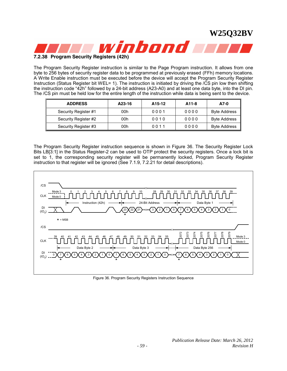

#### **7.2.38 Program Security Registers (42h)**

The Program Security Register instruction is similar to the Page Program instruction. It allows from one byte to 256 bytes of security register data to be programmed at previously erased (FFh) memory locations. A Write Enable instruction must be executed before the device will accept the Program Security Register Instruction (Status Register bit WEL= 1). The instruction is initiated by driving the /CS pin low then shifting the instruction code "42h" followed by a 24-bit address (A23-A0) and at least one data byte, into the DI pin. The /CS pin must be held low for the entire length of the instruction while data is being sent to the device.

| <b>ADDRESS</b>       | A23-16 | A15-12 | A11-8 | A7-0                |
|----------------------|--------|--------|-------|---------------------|
| Security Register #1 | 00h    | 0001   | 0000  | <b>Byte Address</b> |
| Security Register #2 | 00h    | 0010   | 0000  | <b>Byte Address</b> |
| Security Register #3 | 00h    | 0011   | 0000  | <b>Byte Address</b> |

The Program Security Register instruction sequence is shown in Figure 36. The Security Register Lock Bits LB[3:1] in the Status Register-2 can be used to OTP protect the security registers. Once a lock bit is set to 1, the corresponding security register will be permanently locked, Program Security Register instruction to that register will be ignored (See 7.1.9, 7.2.21 for detail descriptions).



Figure 36. Program Security Registers Instruction Sequence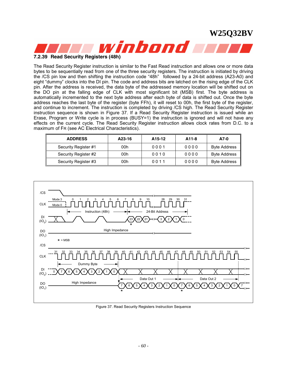

### **7.2.39 Read Security Registers (48h)**

The Read Security Register instruction is similar to the Fast Read instruction and allows one or more data bytes to be sequentially read from one of the three security registers. The instruction is initiated by driving the /CS pin low and then shifting the instruction code "48h" followed by a 24-bit address (A23-A0) and eight "dummy" clocks into the DI pin. The code and address bits are latched on the rising edge of the CLK pin. After the address is received, the data byte of the addressed memory location will be shifted out on the DO pin at the falling edge of CLK with most significant bit (MSB) first. The byte address is automatically incremented to the next byte address after each byte of data is shifted out. Once the byte address reaches the last byte of the register (byte FFh), it will reset to 00h, the first byte of the register, and continue to increment. The instruction is completed by driving /CS high. The Read Security Register instruction sequence is shown in Figure 37. If a Read Security Register instruction is issued while an Erase, Program or Write cycle is in process (BUSY=1) the instruction is ignored and will not have any effects on the current cycle. The Read Security Register instruction allows clock rates from D.C. to a maximum of FR (see AC Electrical Characteristics).

| <b>ADDRESS</b>       | A23-16 | A15-12 | A11-8 | A7-0                |
|----------------------|--------|--------|-------|---------------------|
| Security Register #1 | 00h    | 0001   | 0000  | <b>Byte Address</b> |
| Security Register #2 | 00h    | 0010   | 0000  | <b>Byte Address</b> |
| Security Register #3 | 00h    | 0011   | 0000  | <b>Byte Address</b> |



Figure 37. Read Security Registers Instruction Sequence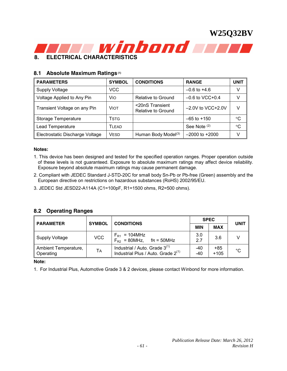

#### **8.1 Absolute Maximum Ratings (1)**

| <b>PARAMETERS</b>               | <b>SYMBOL</b> | <b>CONDITIONS</b>                     | <b>RANGE</b>        | <b>UNIT</b> |
|---------------------------------|---------------|---------------------------------------|---------------------|-------------|
| <b>Supply Voltage</b>           | VCC           |                                       | $-0.6$ to $+4.6$    | v           |
| Voltage Applied to Any Pin      | Vio           | Relative to Ground                    | $-0.6$ to VCC+0.4   | V           |
| Transient Voltage on any Pin    | Viot          | <20nS Transient<br>Relative to Ground | $-2.0V$ to VCC+2.0V | v           |
| Storage Temperature             | Tstg          |                                       | $-65$ to $+150$     | °C          |
| Lead Temperature                | Ti FAD.       |                                       | See Note (2)        | °C          |
| Electrostatic Discharge Voltage | <b>VESD</b>   | Human Body Model <sup>(3)</sup>       | $-2000$ to $+2000$  | v           |

#### **Notes:**

- 1. This device has been designed and tested for the specified operation ranges. Proper operation outside of these levels is not guaranteed. Exposure to absolute maximum ratings may affect device reliability. Exposure beyond absolute maximum ratings may cause permanent damage.
- 2. Compliant with JEDEC Standard J-STD-20C for small body Sn-Pb or Pb-free (Green) assembly and the European directive on restrictions on hazardous substances (RoHS) 2002/95/EU.
- 3. JEDEC Std JESD22-A114A (C1=100pF, R1=1500 ohms, R2=500 ohms).

#### **8.2 Operating Ranges**

| <b>PARAMETER</b>                  | <b>SYMBOL</b> | <b>CONDITIONS</b>                                                             |              | <b>SPEC</b>   |              |  |
|-----------------------------------|---------------|-------------------------------------------------------------------------------|--------------|---------------|--------------|--|
|                                   |               |                                                                               | <b>MIN</b>   | <b>MAX</b>    | <b>UNIT</b>  |  |
| Supply Voltage                    | <b>VCC</b>    | $F_{R1}$ = 104MHz<br>$F_{R2}$ = 80MHz,<br>$fr = 50MHz$                        | 3.0<br>27    | 3.6           |              |  |
| Ambient Temperature,<br>Operating | <b>TA</b>     | Industrial / Auto. Grade $3^{(1)}$<br>Industrial Plus / Auto. Grade $2^{(1)}$ | $-40$<br>-40 | +85<br>$+105$ | $^{\circ}$ C |  |

#### **Note:**

1. For Industrial Plus, Automotive Grade 3 & 2 devices, please contact Winbond for more information.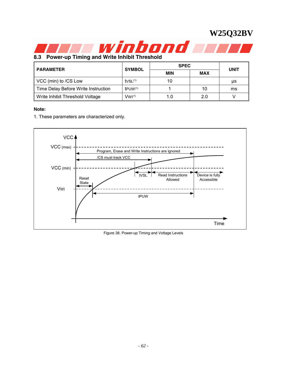

**8.3 Power-up Timing and Write Inhibit Threshold** 

| <b>PARAMETER</b>                    |                      | <b>SPEC</b> | <b>UNIT</b> |    |
|-------------------------------------|----------------------|-------------|-------------|----|
|                                     | <b>SYMBOL</b><br>MIN |             | <b>MAX</b>  |    |
| VCC (min) to /CS Low                | IVSL <sup>(1)</sup>  | 10          |             | μs |
| Time Delay Before Write Instruction | $t$ PUW $(1)$        |             | 10          | ms |
| Write Inhibit Threshold Voltage     | $W^{(1)}$            | 10          | 2.0         |    |

#### **Note:**

1. These parameters are characterized only.



Figure 38. Power-up Timing and Voltage Levels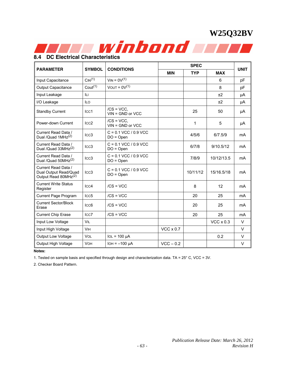

### **8.4 DC Electrical Characteristics**

|                                                                                  | <b>SYMBOL</b><br><b>CONDITIONS</b> |                                        |                  | <b>SPEC</b> |                  |             |  |  |
|----------------------------------------------------------------------------------|------------------------------------|----------------------------------------|------------------|-------------|------------------|-------------|--|--|
| <b>PARAMETER</b>                                                                 |                                    |                                        | <b>MIN</b>       | <b>TYP</b>  | <b>MAX</b>       | <b>UNIT</b> |  |  |
| Input Capacitance                                                                | CIN <sup>(1)</sup>                 | $V_{IN} = 0V^{(1)}$                    |                  |             | 6                | рF          |  |  |
| Output Capacitance                                                               | Cout <sup>(1)</sup>                | $VOUT = 0V(1)$                         |                  |             | 8                | рF          |  |  |
| Input Leakage                                                                    | ILI.                               |                                        |                  |             | ±2               | μA          |  |  |
| I/O Leakage                                                                      | <b>ILO</b>                         |                                        |                  |             | ±2               | μA          |  |  |
| <b>Standby Current</b>                                                           | Icc1                               | $/CS = VCC$ .<br>$VIN = GND$ or $VCC$  |                  | 25          | 50               | μA          |  |  |
| Power-down Current                                                               | $_{\text{ICC2}}$                   | $/CS = VCC$<br>$VIN = GND$ or $VCC$    |                  | 1           | 5                | μA          |  |  |
| Current Read Data /<br>Dual /Quad 1MHz <sup>(2)</sup>                            | ICC <sub>3</sub>                   | $C = 0.1$ VCC / 0.9 VCC<br>$DO = Open$ |                  | 4/5/6       | 6/7.5/9          | mA          |  |  |
| Current Read Data /<br>Dual /Quad 33MHz <sup>(2)</sup>                           | ICC <sub>3</sub>                   | $C = 0.1$ VCC / 0.9 VCC<br>$DO = Open$ |                  | 6/7/8       | 9/10.5/12        | mA          |  |  |
| Current Read Data /<br>Dual /Quad 50MHz <sup>(2)</sup>                           | ICC <sub>3</sub>                   | $C = 0.1$ VCC / 0.9 VCC<br>$DO = Open$ |                  | 7/8/9       | 10/12/13.5       | mA          |  |  |
| Current Read Data /<br>Dual Output Read/Quad<br>Output Read 80MHz <sup>(2)</sup> | ICC <sub>3</sub>                   | $C = 0.1$ VCC / 0.9 VCC<br>$DO = Open$ |                  | 10/11/12    | 15/16.5/18       | mA          |  |  |
| <b>Current Write Status</b><br>Register                                          | ICC4                               | $/CS = VCC$                            |                  | 8           | 12               | mA          |  |  |
| <b>Current Page Program</b>                                                      | ICC <sub>5</sub>                   | $/CS = VCC$                            |                  | 20          | 25               | mA          |  |  |
| <b>Current Sector/Block</b><br>Erase                                             | ICC <sub>6</sub>                   | $/CS = VCC$                            |                  | 20          | 25               | mA          |  |  |
| <b>Current Chip Erase</b>                                                        | Icc7                               | $/CS = VCC$                            |                  | 20          | 25               | mA          |  |  |
| Input Low Voltage                                                                | <b>VIL</b>                         |                                        |                  |             | $VCC \times 0.3$ | $\vee$      |  |  |
| Input High Voltage                                                               | <b>VIH</b>                         |                                        | $VCC \times 0.7$ |             |                  | $\vee$      |  |  |
| <b>Output Low Voltage</b>                                                        | <b>VOL</b>                         | $IOL = 100 \mu A$                      |                  |             | 0.2              | $\vee$      |  |  |
| Output High Voltage                                                              | <b>VOH</b>                         | $IOH = -100 \mu A$                     | $VCC - 0.2$      |             |                  | $\vee$      |  |  |

#### **Notes:**

1. Tested on sample basis and specified through design and characterization data. TA = 25° C, VCC = 3V.

2. Checker Board Pattern.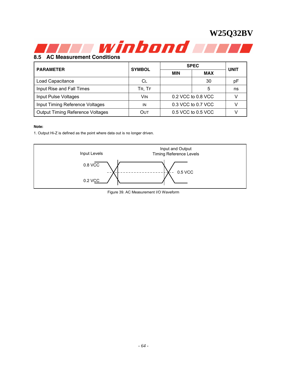

### **8.5 AC Measurement Conditions**

| <b>PARAMETER</b>                        | <b>SYMBOL</b> | <b>SPEC</b>        | <b>UNIT</b>        |    |  |
|-----------------------------------------|---------------|--------------------|--------------------|----|--|
|                                         |               | <b>MIN</b>         | <b>MAX</b>         |    |  |
| Load Capacitance                        | СL            |                    | 30                 | рF |  |
| Input Rise and Fall Times               | TR, TF        |                    |                    | ns |  |
| <b>Input Pulse Voltages</b>             | <b>VIN</b>    | 0.2 VCC to 0.8 VCC |                    |    |  |
| Input Timing Reference Voltages         | IN            | 0.3 VCC to 0.7 VCC |                    |    |  |
| <b>Output Timing Reference Voltages</b> | Out           |                    | 0.5 VCC to 0.5 VCC |    |  |

#### **Note:**

1. Output Hi-Z is defined as the point where data out is no longer driven.



Figure 39. AC Measurement I/O Waveform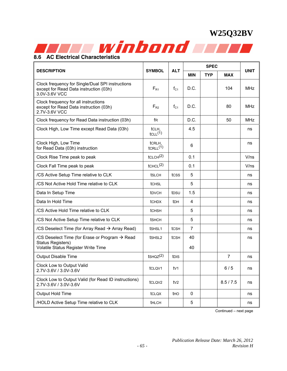

#### **DESCRIPTION SYMBOL** ALT **SPEC UNIT MIN TYP MAX**  Clock frequency for Single/Dual SPI instructions except for Read Data instruction (03h) 3.0V-3.6V VCC  $F_{R1}$  | f<sub>C1</sub> | D.C. | | 104 | MHz Clock frequency for all instructions except for Read Data instruction (03h) 2.7V-3.6V VCC  $F_{R2}$  | f<sub>C1</sub> | D.C. | | 80 | MHz Clock frequency for Read Data instruction (03h) free product and product and D.C.  $\vert$  50 MHz Clock High, Low Time except Read Data  $(03h)$   $|$  tcl. H,  $tCLL^{(1)}$ 4.5 ns Clock High, Low Time for Read Data (03h) instruction tcrlH,<br>tcrlL(1)  $\text{tCRLH},$ <br> $\text{tCRLL}^{(1)}$  6  $\qquad$  1 ns Clock Rise Time peak to peak tCLCH(2) 0.1 V/ns Clock Fall Time peak to peak tCHCL(2) 0.1 V/ns  $\sqrt{CS}$  Active Setup Time relative to CLK to  $\sqrt{CS}$  tsLCH tcss  $\sqrt{CS}$  and tcss in the setup Time relative to CLK  $\angle$  /CS Not Active Hold Time relative to CLK https://tcHsL  $\parallel$  ns insection in terms in terms in terms in terms in terms in terms in terms in terms in terms in terms in terms in terms in terms in terms in terms in terms Data In Setup Time the total to the total to the total to the total to the total to the total to the total to the to the total to the total to the total to the total to the total to the total to the total to the total to t Data In Hold Time the team of the team of the team of the team of the team of the team of the team of the team o  $\angle$  /CS Active Hold Time relative to CLK htchsh states is tchsh in tchsh in tchsh in to state in the states of tchsh in tchsh in tchsh in tchsh in tchsh in tchsh in tchsh in tchsh in tchsh in tchsh in tchsh in tchsh in t  $\angle$  /CS Not Active Setup Time relative to CLK https://tshch.com/state nshchool.com/state nshchool.com/state nshchool.com/state nshchool.com/state nshchool.com/state nshchool.com/state nshchool.com/state nshchool.com/stat  $\angle$  /CS Deselect Time (for Array Read  $\rightarrow$  Array Read) | tSHSL1 tCSH | 7 | | | | | ns /CS Deselect Time (for Erase or Program  $\rightarrow$  Read Status Registers) Volatile Status Register Write Time  $t$ SHSL2  $t$ CSH 40 40 ns Output Disable Time the term of the term of the term of the term of the term of the term of term of term of te Clock Low to Output Valid 2.7V-3.6V / 3.0V-3.6V **tCLQV1** tCLQV1 tV1 6 / 5 ns Clock Low to Output Valid (for Read ID instructions) Clock Low to Output valid (for Read iD instructions) | tcl. (2.7V | tv2 | | | | | | | | | 8.5 / 7.5 | | | ns Output Hold Time the set of the club tclox the ten of the position of the set of the set of the set of the set o  $\text{HOLD Active Setup Time relative to CLK}$   $\vert$  thLCH  $\vert$  5  $\vert$   $\vert$  ns

Continued – next page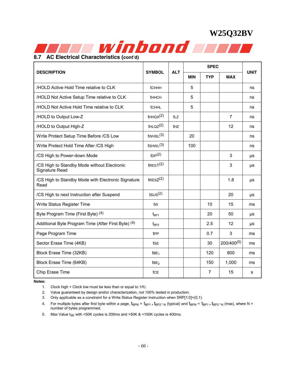

| <b>DESCRIPTION</b>                                             | <b>SYMBOL</b>        | <b>ALT</b>  | <b>MIN</b> | <b>TYP</b>     | <b>MAX</b>      | <b>UNIT</b> |
|----------------------------------------------------------------|----------------------|-------------|------------|----------------|-----------------|-------------|
| /HOLD Active Hold Time relative to CLK                         | tchhh                |             | 5          |                |                 | ns          |
| /HOLD Not Active Setup Time relative to CLK                    | <b>tHHCH</b>         |             | 5          |                |                 | ns          |
| /HOLD Not Active Hold Time relative to CLK                     | <b>tCHHL</b>         |             | 5          |                |                 | ns          |
| /HOLD to Output Low-Z                                          | tHHQX <sup>(2)</sup> | tLZ         |            |                | $\overline{7}$  | ns          |
| /HOLD to Output High-Z                                         | tHLQZ <sup>(2)</sup> | <b>t</b> HZ |            |                | 12              | ns          |
| Write Protect Setup Time Before /CS Low                        | tWHSL <sup>(3)</sup> |             | 20         |                |                 | ns          |
| Write Protect Hold Time After /CS High                         | $t$ SHWL $(3)$       |             | 100        |                |                 | ns          |
| /CS High to Power-down Mode                                    | tDP <sup>(2)</sup>   |             |            |                | 3               | μs          |
| /CS High to Standby Mode without Electronic<br>Signature Read  | $t$ RES1 $(2)$       |             |            |                | 3               | $\mu s$     |
| /CS High to Standby Mode with Electronic Signature<br>Read     | $t$ RES $2(2)$       |             |            |                | 1.8             | μs          |
| /CS High to next Instruction after Suspend                     | $t$ sus $(2)$        |             |            |                | 20              | $\mu s$     |
| Write Status Register Time                                     | tw                   |             |            | 10             | 15              | ms          |
| Byte Program Time (First Byte) (4)                             | $t_{BP1}$            |             |            | 20             | 50              | $\mu s$     |
| Additional Byte Program Time (After First Byte) <sup>(4)</sup> | $t_{BP2}$            |             |            | 2.5            | 12              | μs          |
| Page Program Time                                              | t <sub>PP</sub>      |             |            | 0.7            | $\mathbf{3}$    | ms          |
| Sector Erase Time (4KB)                                        | tse                  |             |            | 30             | $200/400^{(5)}$ | ms          |
| Block Erase Time (32KB)                                        | tBE <sub>1</sub>     |             |            | 120            | 800             | ms          |
| Block Erase Time (64KB)                                        | tBE <sub>2</sub>     |             |            | 150            | 1,000           | ms          |
| Chip Erase Time                                                | tce                  |             |            | $\overline{7}$ | 15              | s           |

**Notes:** 

1. Clock high + Clock low must be less than or equal to 1/fC.

2. Value guaranteed by design and/or characterization, not 100% tested in production.

3. Only applicable as a constraint for a Write Status Register instruction when SRP[1:0]=(0,1).

- 4. For multiple bytes after first byte within a page,  $t_{BPN} = t_{BP1} + t_{BP2} \cdot N$  (typical) and  $t_{BPN} = t_{BP1} + t_{BP2} \cdot N$  (max), where N = number of bytes programmed.
- 5. Max Value  $t_{\text{SE}}$  with <50K cycles is 200ms and >50K & <100K cycles is 400ms.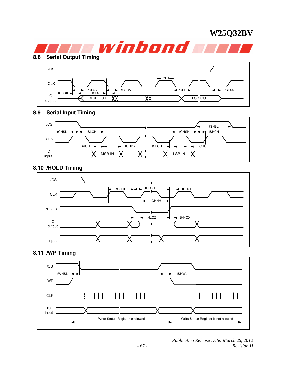

### **8.9 Serial Input Timing**



### **8.10 /HOLD Timing**



### **8.11 /WP Timing**

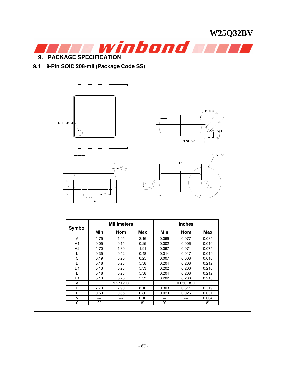**W25Q32BV**  winbond will **9. PACKAGE SPECIFICATION** 

### **9.1 8-Pin SOIC 208-mil (Package Code SS)**



θ 0° --- 8° 0° --- 8°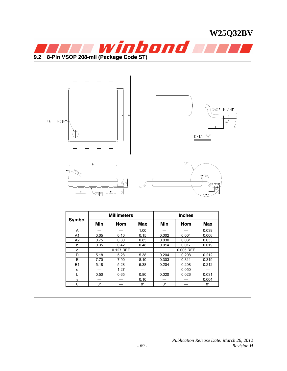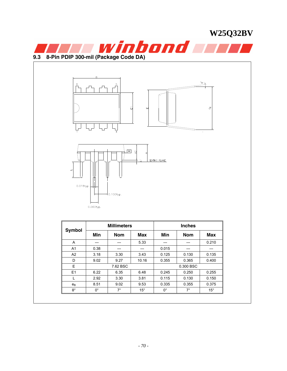| 8-Pin PDIP 300-mil (Package Code DA)<br>8<br>0.018typ. | D           | 5<br>$\boxed{H}$   | 급<br>$\mathbf{u}$<br>$\Delta$ | SEATING PLANE      |               | winbond <b>wer</b><br>ക് |  |
|--------------------------------------------------------|-------------|--------------------|-------------------------------|--------------------|---------------|--------------------------|--|
|                                                        |             | 0.100typ.          |                               |                    |               |                          |  |
|                                                        | 0.060typ.   |                    |                               |                    |               |                          |  |
|                                                        |             |                    |                               |                    |               |                          |  |
|                                                        |             | <b>Millimeters</b> |                               |                    | <b>Inches</b> |                          |  |
| Symbol                                                 | Min         | <b>Nom</b>         | <b>Max</b>                    | Min                | <b>Nom</b>    | <b>Max</b>               |  |
| Α                                                      | ---         | ---                | 5.33                          | ---                | ---           | 0.210                    |  |
| A <sub>1</sub>                                         | 0.38        | ---                | $---$                         | 0.015              | ---           | $---$                    |  |
| A <sub>2</sub>                                         | 3.18        | 3.30               | 3.43                          | 0.125              | 0.130         | 0.135                    |  |
| $\mathsf D$                                            | 9.02        | 9.27               | 10.16                         | 0.355              | 0.365         | 0.400                    |  |
| $\mathsf E$                                            |             | 7.62 BSC           |                               |                    | 0.300 BSC     |                          |  |
| E1                                                     | 6.22        | 6.35               | 6.48                          | 0.245              | 0.250         | 0.255                    |  |
| L                                                      | 2.92        | 3.30               | 3.81                          | 0.115              | 0.130         | 0.150                    |  |
| $e_{B}$                                                | 8.51        | 9.02               | 9.53                          | 0.335              | 0.355         | 0.375                    |  |
| $\boldsymbol{\theta}^\circ$                            | $0^{\circ}$ | $7^{\circ}$        | $15^\circ$                    | $\mathbf{0}^\circ$ | $7^{\circ}$   | $15^{\circ}$             |  |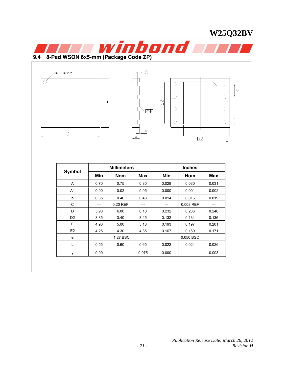



|                | <b>Millimeters</b> |            |       | <b>Inches</b> |            |       |  |
|----------------|--------------------|------------|-------|---------------|------------|-------|--|
| Symbol         | Min                | <b>Nom</b> | Max   | Min           | <b>Nom</b> | Max   |  |
| A              | 0.70               | 0.75       | 0.80  | 0.028         | 0.030      | 0.031 |  |
| A <sub>1</sub> | 0.00               | 0.02       | 0.05  | 0.000         | 0.001      | 0.002 |  |
| b              | 0.35               | 0.40       | 0.48  | 0.014         | 0.016      | 0.019 |  |
| C              | $---$              | 0.20 REF   | ---   | ---           | 0.008 REF  | ---   |  |
| D              | 5.90               | 6.00       | 6.10  | 0.232         | 0.236      | 0.240 |  |
| D <sub>2</sub> | 3.35               | 3.40       | 3.45  | 0.132         | 0.134      | 0.136 |  |
| E              | 4.90               | 5.00       | 5.10  | 0.193         | 0.197      | 0.201 |  |
| E <sub>2</sub> | 4.25               | 4.30       | 4.35  | 0.167         | 0.169      | 0.171 |  |
| e              |                    | 1.27 BSC   |       | 0.050 BSC     |            |       |  |
| L              | 0.55               | 0.60       | 0.65  | 0.022         | 0.024      | 0.026 |  |
| у              | 0.00               | ---        | 0.075 | 0.000         |            | 0.003 |  |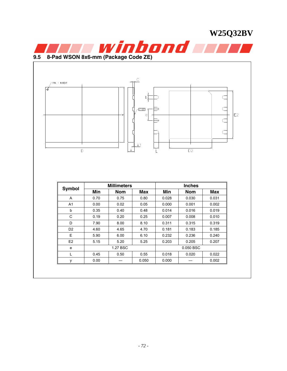



| Symbol         | <b>Millimeters</b> |            |       | <b>Inches</b> |            |            |
|----------------|--------------------|------------|-------|---------------|------------|------------|
|                | Min                | <b>Nom</b> | Max   | Min           | <b>Nom</b> | <b>Max</b> |
| A              | 0.70               | 0.75       | 0.80  | 0.028         | 0.030      | 0.031      |
| A1             | 0.00               | 0.02       | 0.05  | 0.000         | 0.001      | 0.002      |
| b              | 0.35               | 0.40       | 0.48  | 0.014         | 0.016      | 0.019      |
| C              | 0.19               | 0.20       | 0.25  | 0.007         | 0.008      | 0.010      |
| D              | 7.90               | 8.00       | 8.10  | 0.311         | 0.315      | 0.319      |
| D <sub>2</sub> | 4.60               | 4.65       | 4.70  | 0.181         | 0.183      | 0.185      |
| E              | 5.90               | 6.00       | 6.10  | 0.232         | 0.236      | 0.240      |
| E <sub>2</sub> | 5.15               | 5.20       | 5.25  | 0.203         | 0.205      | 0.207      |
| e              | 1.27 BSC           |            |       | 0.050 BSC     |            |            |
|                | 0.45               | 0.50       | 0.55  | 0.018         | 0.020      | 0.022      |
| у              | 0.00               |            | 0.050 | 0.000         | ---        | 0.002      |
|                |                    |            |       |               |            |            |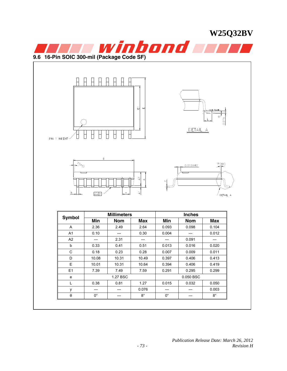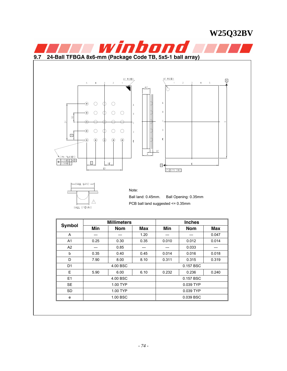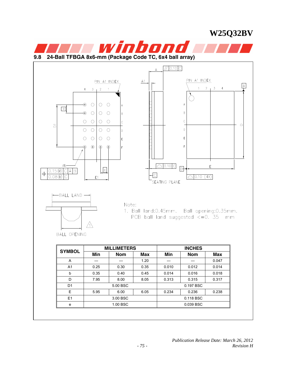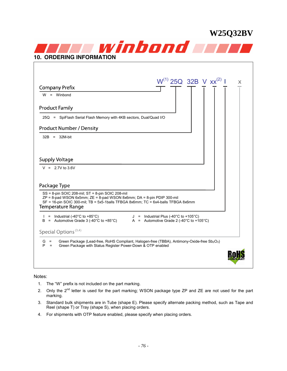

#### Notes:

- 1. The "W" prefix is not included on the part marking.
- 2. Only the 2<sup>nd</sup> letter is used for the part marking; WSON package type ZP and ZE are not used for the part marking.
- 3. Standard bulk shipments are in Tube (shape E). Please specify alternate packing method, such as Tape and Reel (shape T) or Tray (shape S), when placing orders.
- 4. For shipments with OTP feature enabled, please specify when placing orders.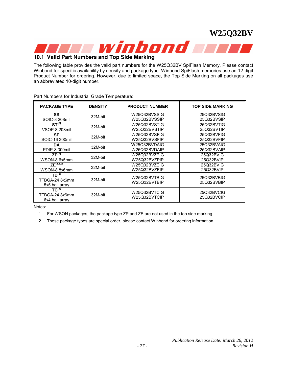

### **10.1 Valid Part Numbers and Top Side Marking**

The following table provides the valid part numbers for the W25Q32BV SpiFlash Memory. Please contact Winbond for specific availability by density and package type. Winbond SpiFlash memories use an 12-digit Product Number for ordering. However, due to limited space, the Top Side Marking on all packages use an abbreviated 10-digit number.

| <b>PACKAGE TYPE</b>                                   | <b>DENSITY</b> | <b>PRODUCT NUMBER</b>        | <b>TOP SIDE MARKING</b>  |
|-------------------------------------------------------|----------------|------------------------------|--------------------------|
| SS                                                    | 32M-bit        | W25Q32BVSSIG                 | 25Q32BVSIG               |
| SOIC-8 208mil                                         |                | W25Q32BVSSIP                 | 25Q32BVSIP               |
| $ST^{(2)}$                                            | 32M-bit        | W25Q32BVSTIG                 | 25Q32BVTIG               |
| <b>VSOP-8 208mil</b>                                  |                | W25Q32BVSTIP                 | 25Q32BVTIP               |
| <b>SF</b>                                             | 32M-bit        | W25Q32BVSFIG                 | 25Q32BVFIG               |
| SOIC-16 300mil                                        |                | W25Q32BVSFIP                 | 25Q32BVFIP               |
| <b>DA</b>                                             | 32M-bit        | W25Q32BVDAIG                 | 25Q32BVAIG               |
| PDIP-8 300mil                                         |                | W25Q32BVDAIP                 | 25Q32BVAIP               |
| $ZP^{(1)}$                                            | 32M-bit        | W25Q32BVZPIG                 | 25Q32BVIG                |
| WSON-8 6x5mm                                          |                | W25Q32BVZPIP                 | 25Q32BVIP                |
| ZE <sup>(1)(2)</sup>                                  | 32M-bit        | W25Q32BVZEIG                 | 25Q32BVIG                |
| WSON-8 8x6mm                                          |                | W25Q32BVZEIP                 | 25Q32BVIP                |
| TB <sup>(2)</sup><br>TFBGA-24 8x6mm<br>5x5 ball array | 32M-bit        | W25Q32BVTBIG<br>W25Q32BVTBIP | 25Q32BVBIG<br>25Q32BVBIP |
| $TC^{(2)}$<br>TFBGA-24 8x6mm<br>6x4 ball array        | 32M-bit        | W25Q32BVTCIG<br>W25Q32BVTCIP | 25Q32BVCIG<br>25Q32BVCIP |

Part Numbers for Industrial Grade Temperature:

Notes:

1. For WSON packages, the package type ZP and ZE are not used in the top side marking.

2. These package types are special order, please contact Winbond for ordering information.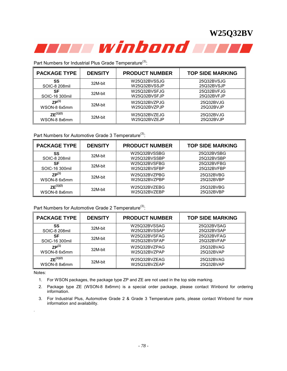

Part Numbers for Industrial Plus Grade Temperature<sup>(3)</sup>:

| <b>PACKAGE TYPE</b> | <b>DENSITY</b> | <b>PRODUCT NUMBER</b> | <b>TOP SIDE MARKING</b> |
|---------------------|----------------|-----------------------|-------------------------|
| SS                  | 32M-bit        | W25Q32BVSSJG          | 25Q32BVSJG              |
| SOIC-8 208mil       |                | W25Q32BVSSJP          | 25Q32BVSJP              |
| SF                  | 32M-bit        | W25Q32BVSFJG          | 25Q32BVFJG              |
| SOIC-16 300mil      |                | W25Q32BVSFJP          | 25Q32BVFJP              |
| $ZP^{(1)}$          | 32M-bit        | W25Q32BVZPJG          | 25Q32BVJG               |
| WSON-8 6x5mm        |                | W25Q32BVZPJP          | 25Q32BVJP               |
| $ZF^{(1)(2)}$       | 32M-bit        | W25Q32BVZEJG          | 25Q32BVJG               |
| WSON-8 8x6mm        |                | W25Q32BVZEJP          | 25Q32BVJP               |

Part Numbers for Automotive Grade 3 Temperature<sup>(3)</sup>:

| <b>PACKAGE TYPE</b>  | <b>DENSITY</b> | <b>PRODUCT NUMBER</b> | <b>TOP SIDE MARKING</b> |
|----------------------|----------------|-----------------------|-------------------------|
| SS                   | 32M-bit        | W25Q32BVSSBG          | 25Q32BVSBG              |
| SOIC-8 208mil        |                | W25Q32BVSSBP          | 25Q32BVSBP              |
| SF                   | 32M-bit        | W25Q32BVSFBG          | 25Q32BVFBG              |
| SOIC-16 300mil       |                | W25Q32BVSFBP          | 25Q32BVFBP              |
| $7P^{(1)}$           | 32M-bit        | W25Q32BVZPBG          | 25Q32BVBG               |
| WSON-8 6x5mm         |                | W25Q32BVZPBP          | 25Q32BVBP               |
| ZE <sup>(1)(2)</sup> | 32M-bit        | W25Q32BVZEBG          | 25Q32BVBG               |
| WSON-8 8x6mm         |                | W25Q32BVZEBP          | 25Q32BVBP               |

Part Numbers for Automotive Grade 2 Temperature<sup>(3)</sup>:

| <b>PACKAGE TYPE</b> | <b>DENSITY</b> | <b>PRODUCT NUMBER</b> | <b>TOP SIDE MARKING</b> |
|---------------------|----------------|-----------------------|-------------------------|
| SS                  | 32M-bit        | W25Q32BVSSAG          | 25Q32BVSAG              |
| SOIC-8 208mil       |                | W25Q32BVSSAP          | 25Q32BVSAP              |
| SF                  | 32M-bit        | W25Q32BVSFAG          | 25Q32BVFAG              |
| SOIC-16 300mil      |                | W25Q32BVSFAP          | 25Q32BVFAP              |
| $ZP^{(1)}$          | 32M-bit        | W25Q32BVZPAG          | 25Q32BVAG               |
| WSON-8 6x5mm        |                | W25Q32BVZPAP          | 25Q32BVAP               |
| $ZF^{(1)(2)}$       | 32M-bit        | W25Q32BVZEAG          | 25Q32BVAG               |
| WSON-8 8x6mm        |                | W25Q32BVZEAP          | 25Q32BVAP               |

Notes:

.

- 1. For WSON packages, the package type ZP and ZE are not used in the top side marking.
- 2. Package type ZE (WSON-8 8x6mm) is a special order package, please contact Winbond for ordering information.
- 3. For Industrial Plus, Automotive Grade 2 & Grade 3 Temperature parts, please contact Winbond for more information and availability.